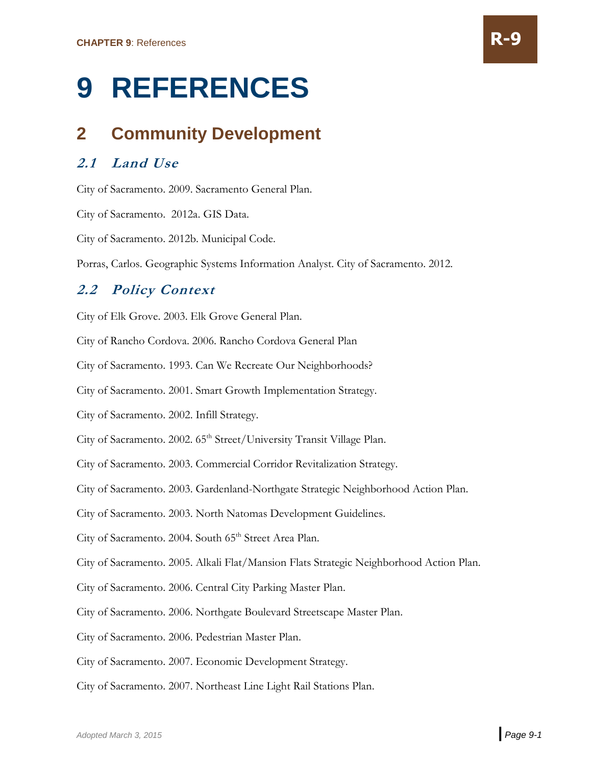# **9 REFERENCES**

# **2 Community Development**

## **2.1 Land Use**

City of Sacramento. 2009. Sacramento General Plan.

City of Sacramento. 2012a. GIS Data.

City of Sacramento. 2012b. Municipal Code.

Porras, Carlos. Geographic Systems Information Analyst. City of Sacramento. 2012.

#### **2.2 Policy Context**

City of Elk Grove. 2003. Elk Grove General Plan.

City of Rancho Cordova. 2006. Rancho Cordova General Plan

City of Sacramento. 1993. Can We Recreate Our Neighborhoods?

City of Sacramento. 2001. Smart Growth Implementation Strategy.

City of Sacramento. 2002. Infill Strategy.

City of Sacramento. 2002. 65<sup>th</sup> Street/University Transit Village Plan.

City of Sacramento. 2003. Commercial Corridor Revitalization Strategy.

City of Sacramento. 2003. Gardenland-Northgate Strategic Neighborhood Action Plan.

City of Sacramento. 2003. North Natomas Development Guidelines.

City of Sacramento. 2004. South 65<sup>th</sup> Street Area Plan.

City of Sacramento. 2005. Alkali Flat/Mansion Flats Strategic Neighborhood Action Plan.

City of Sacramento. 2006. Central City Parking Master Plan.

City of Sacramento. 2006. Northgate Boulevard Streetscape Master Plan.

City of Sacramento. 2006. Pedestrian Master Plan.

City of Sacramento. 2007. Economic Development Strategy.

City of Sacramento. 2007. Northeast Line Light Rail Stations Plan.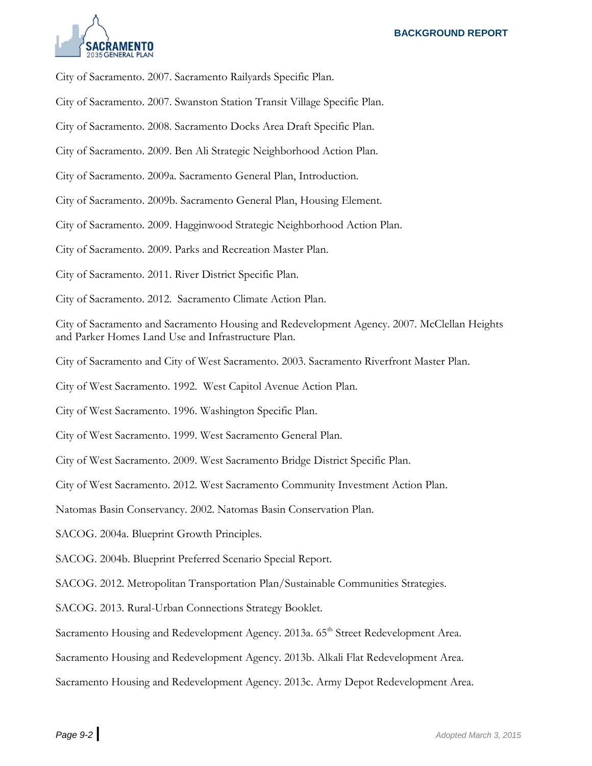

City of Sacramento. 2007. Sacramento Railyards Specific Plan.

City of Sacramento. 2007. Swanston Station Transit Village Specific Plan.

City of Sacramento. 2008. Sacramento Docks Area Draft Specific Plan.

City of Sacramento. 2009. Ben Ali Strategic Neighborhood Action Plan.

City of Sacramento. 2009a. Sacramento General Plan, Introduction.

City of Sacramento. 2009b. Sacramento General Plan, Housing Element.

City of Sacramento. 2009. Hagginwood Strategic Neighborhood Action Plan.

City of Sacramento. 2009. Parks and Recreation Master Plan.

City of Sacramento. 2011. River District Specific Plan.

City of Sacramento. 2012. Sacramento Climate Action Plan.

City of Sacramento and Sacramento Housing and Redevelopment Agency. 2007. McClellan Heights and Parker Homes Land Use and Infrastructure Plan.

City of Sacramento and City of West Sacramento. 2003. Sacramento Riverfront Master Plan.

City of West Sacramento. 1992. West Capitol Avenue Action Plan.

City of West Sacramento. 1996. Washington Specific Plan.

City of West Sacramento. 1999. West Sacramento General Plan.

City of West Sacramento. 2009. West Sacramento Bridge District Specific Plan.

City of West Sacramento. 2012. West Sacramento Community Investment Action Plan.

Natomas Basin Conservancy. 2002. Natomas Basin Conservation Plan.

SACOG. 2004a. Blueprint Growth Principles.

SACOG. 2004b. Blueprint Preferred Scenario Special Report.

SACOG. 2012. Metropolitan Transportation Plan/Sustainable Communities Strategies.

SACOG. 2013. Rural-Urban Connections Strategy Booklet.

Sacramento Housing and Redevelopment Agency. 2013a. 65<sup>th</sup> Street Redevelopment Area.

Sacramento Housing and Redevelopment Agency. 2013b. Alkali Flat Redevelopment Area.

Sacramento Housing and Redevelopment Agency. 2013c. Army Depot Redevelopment Area.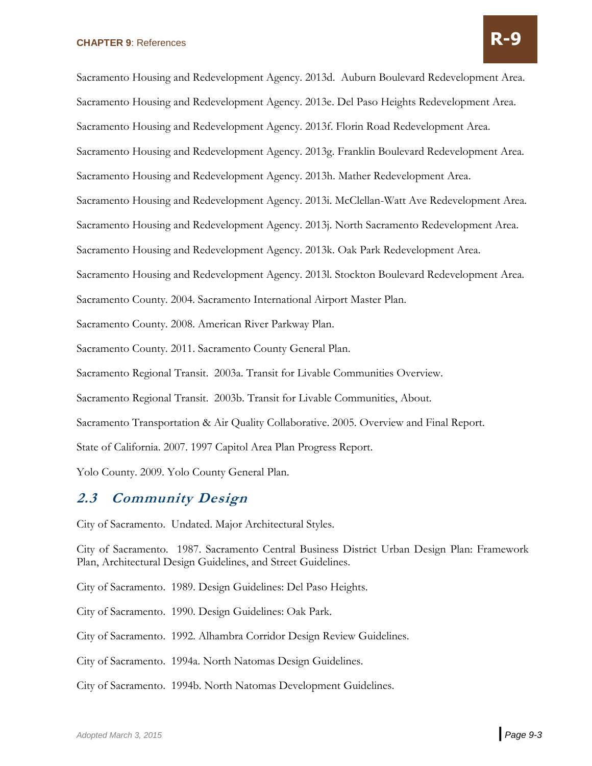Sacramento Housing and Redevelopment Agency. 2013d. Auburn Boulevard Redevelopment Area. Sacramento Housing and Redevelopment Agency. 2013e. Del Paso Heights Redevelopment Area. Sacramento Housing and Redevelopment Agency. 2013f. Florin Road Redevelopment Area. Sacramento Housing and Redevelopment Agency. 2013g. Franklin Boulevard Redevelopment Area. Sacramento Housing and Redevelopment Agency. 2013h. Mather Redevelopment Area. Sacramento Housing and Redevelopment Agency. 2013i. McClellan-Watt Ave Redevelopment Area. Sacramento Housing and Redevelopment Agency. 2013j. North Sacramento Redevelopment Area. Sacramento Housing and Redevelopment Agency. 2013k. Oak Park Redevelopment Area. Sacramento Housing and Redevelopment Agency. 2013l. Stockton Boulevard Redevelopment Area. Sacramento County. 2004. Sacramento International Airport Master Plan. Sacramento County. 2008. American River Parkway Plan. Sacramento County. 2011. Sacramento County General Plan. Sacramento Regional Transit. 2003a. Transit for Livable Communities Overview. Sacramento Regional Transit. 2003b. Transit for Livable Communities, About. Sacramento Transportation & Air Quality Collaborative. 2005. Overview and Final Report. State of California. 2007. 1997 Capitol Area Plan Progress Report. Yolo County. 2009. Yolo County General Plan.

#### **2.3 Community Design**

City of Sacramento. Undated. Major Architectural Styles.

City of Sacramento. 1987. Sacramento Central Business District Urban Design Plan: Framework Plan, Architectural Design Guidelines, and Street Guidelines.

City of Sacramento. 1989. Design Guidelines: Del Paso Heights.

City of Sacramento. 1990. Design Guidelines: Oak Park.

City of Sacramento. 1992. Alhambra Corridor Design Review Guidelines.

City of Sacramento. 1994a. North Natomas Design Guidelines.

City of Sacramento. 1994b. North Natomas Development Guidelines.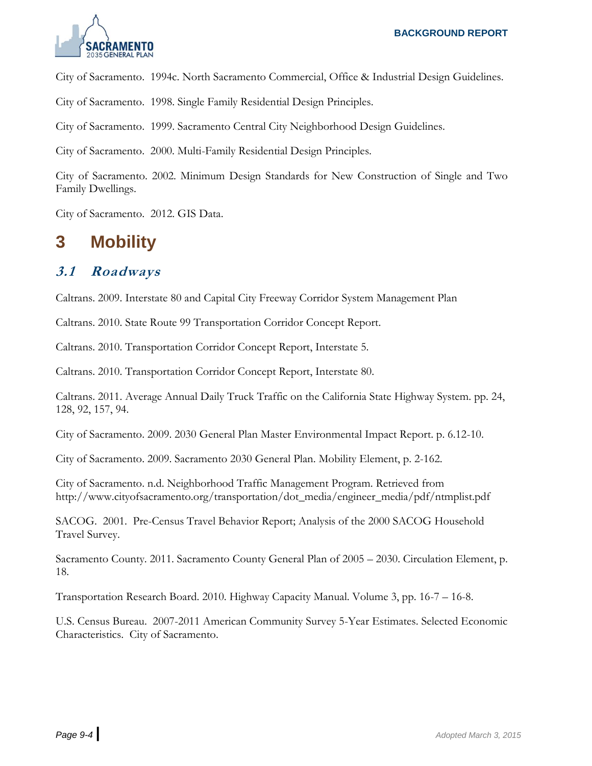

City of Sacramento. 1994c. North Sacramento Commercial, Office & Industrial Design Guidelines.

City of Sacramento. 1998. Single Family Residential Design Principles.

City of Sacramento. 1999. Sacramento Central City Neighborhood Design Guidelines.

City of Sacramento. 2000. Multi-Family Residential Design Principles.

City of Sacramento. 2002. Minimum Design Standards for New Construction of Single and Two Family Dwellings.

City of Sacramento. 2012. GIS Data.

# **3 Mobility**

#### **3.1 Roadways**

Caltrans. 2009. Interstate 80 and Capital City Freeway Corridor System Management Plan

Caltrans. 2010. State Route 99 Transportation Corridor Concept Report.

Caltrans. 2010. Transportation Corridor Concept Report, Interstate 5.

Caltrans. 2010. Transportation Corridor Concept Report, Interstate 80.

Caltrans. 2011. Average Annual Daily Truck Traffic on the California State Highway System. pp. 24, 128, 92, 157, 94.

City of Sacramento. 2009. 2030 General Plan Master Environmental Impact Report. p. 6.12-10.

City of Sacramento. 2009. Sacramento 2030 General Plan. Mobility Element, p. 2-162.

City of Sacramento. n.d. Neighborhood Traffic Management Program. Retrieved from http://www.cityofsacramento.org/transportation/dot\_media/engineer\_media/pdf/ntmplist.pdf

SACOG. 2001. Pre-Census Travel Behavior Report; Analysis of the 2000 SACOG Household Travel Survey.

Sacramento County. 2011. Sacramento County General Plan of 2005 – 2030. Circulation Element, p. 18.

Transportation Research Board. 2010. Highway Capacity Manual. Volume 3, pp. 16-7 – 16-8.

U.S. Census Bureau. 2007-2011 American Community Survey 5-Year Estimates. Selected Economic Characteristics. City of Sacramento.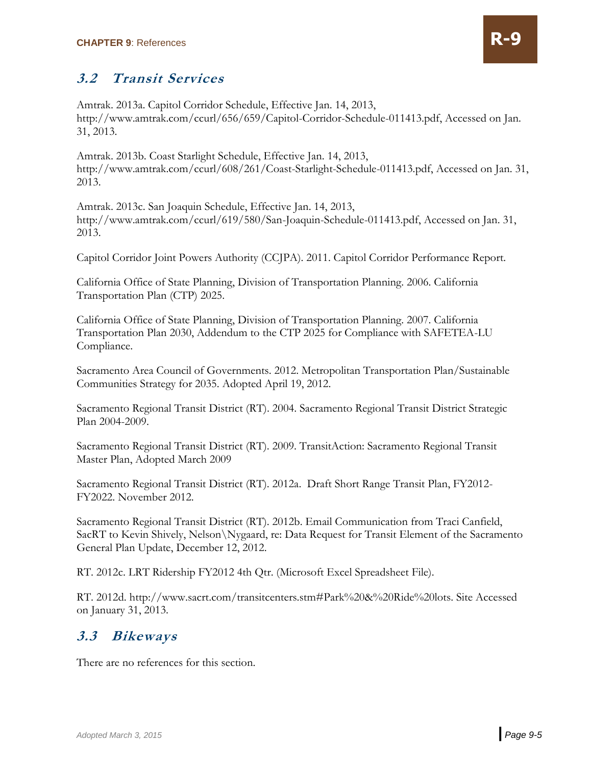

#### **3.2 Transit Services**

Amtrak. 2013a. Capitol Corridor Schedule, Effective Jan. 14, 2013, http://www.amtrak.com/ccurl/656/659/Capitol-Corridor-Schedule-011413.pdf, Accessed on Jan. 31, 2013.

Amtrak. 2013b. Coast Starlight Schedule, Effective Jan. 14, 2013, [http://www.amtrak.com/ccurl/608/261/Coast-Starlight-Schedule-011413.pdf,](http://www.amtrak.com/ccurl/608/261/Coast-Starlight-Schedule-011413.pdf) Accessed on Jan. 31, 2013.

Amtrak. 2013c. San Joaquin Schedule, Effective Jan. 14, 2013, http://www.amtrak.com/ccurl/619/580/San-Joaquin-Schedule-011413.pdf, Accessed on Jan. 31, 2013.

Capitol Corridor Joint Powers Authority (CCJPA). 2011. Capitol Corridor Performance Report.

California Office of State Planning, Division of Transportation Planning. 2006. California Transportation Plan (CTP) 2025.

California Office of State Planning, Division of Transportation Planning. 2007. California Transportation Plan 2030, Addendum to the CTP 2025 for Compliance with SAFETEA-LU Compliance.

Sacramento Area Council of Governments. 2012. Metropolitan Transportation Plan/Sustainable Communities Strategy for 2035. Adopted April 19, 2012.

Sacramento Regional Transit District (RT). 2004. Sacramento Regional Transit District Strategic Plan 2004-2009.

Sacramento Regional Transit District (RT). 2009. TransitAction: Sacramento Regional Transit Master Plan, Adopted March 2009

Sacramento Regional Transit District (RT). 2012a. Draft Short Range Transit Plan, FY2012- FY2022. November 2012.

Sacramento Regional Transit District (RT). 2012b. Email Communication from Traci Canfield, SacRT to Kevin Shively, Nelson\Nygaard, re: Data Request for Transit Element of the Sacramento General Plan Update, December 12, 2012.

RT. 2012c. LRT Ridership FY2012 4th Qtr. (Microsoft Excel Spreadsheet File).

RT. 2012d. [http://www.sacrt.com/transitcenters.stm#Park%20&%20Ride%20lots.](http://www.sacrt.com/transitcenters.stm#Park%20&%20Ride%20lots) Site Accessed on January 31, 2013.

#### **3.3 Bikeways**

There are no references for this section.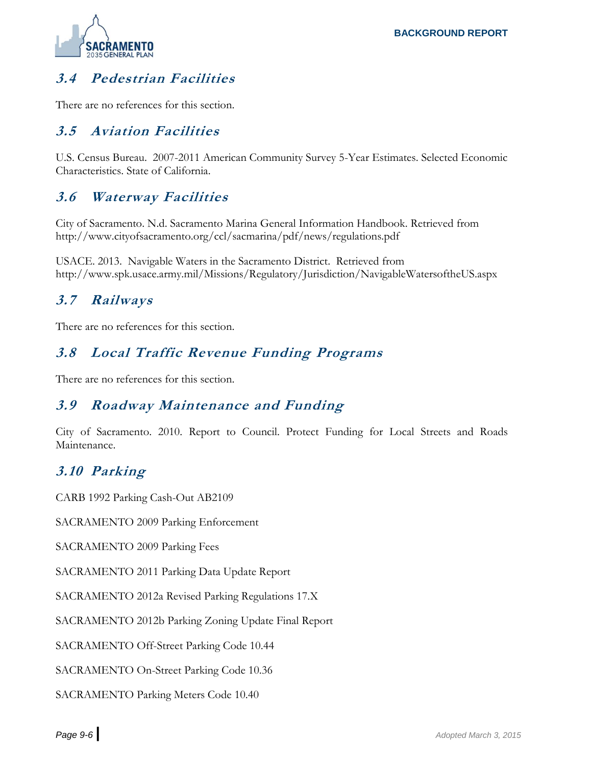

# **3.4 Pedestrian Facilities**

There are no references for this section.

#### **3.5 Aviation Facilities**

U.S. Census Bureau. 2007-2011 American Community Survey 5-Year Estimates. Selected Economic Characteristics. State of California.

#### **3.6 Waterway Facilities**

City of Sacramento. N.d. Sacramento Marina General Information Handbook. Retrieved from http://www.cityofsacramento.org/ccl/sacmarina/pdf/news/regulations.pdf

USACE. 2013. Navigable Waters in the Sacramento District. Retrieved from http://www.spk.usace.army.mil/Missions/Regulatory/Jurisdiction/NavigableWatersoftheUS.aspx

#### **3.7 Railways**

There are no references for this section.

#### **3.8 Local Traffic Revenue Funding Programs**

There are no references for this section.

#### **3.9 Roadway Maintenance and Funding**

City of Sacramento. 2010. Report to Council. Protect Funding for Local Streets and Roads Maintenance.

#### **3.10 Parking**

CARB 1992 Parking Cash-Out AB2109

SACRAMENTO 2009 Parking Enforcement

SACRAMENTO 2009 Parking Fees

SACRAMENTO 2011 Parking Data Update Report

SACRAMENTO 2012a Revised Parking Regulations 17.X

SACRAMENTO 2012b Parking Zoning Update Final Report

SACRAMENTO Off-Street Parking Code 10.44

SACRAMENTO On-Street Parking Code 10.36

SACRAMENTO Parking Meters Code 10.40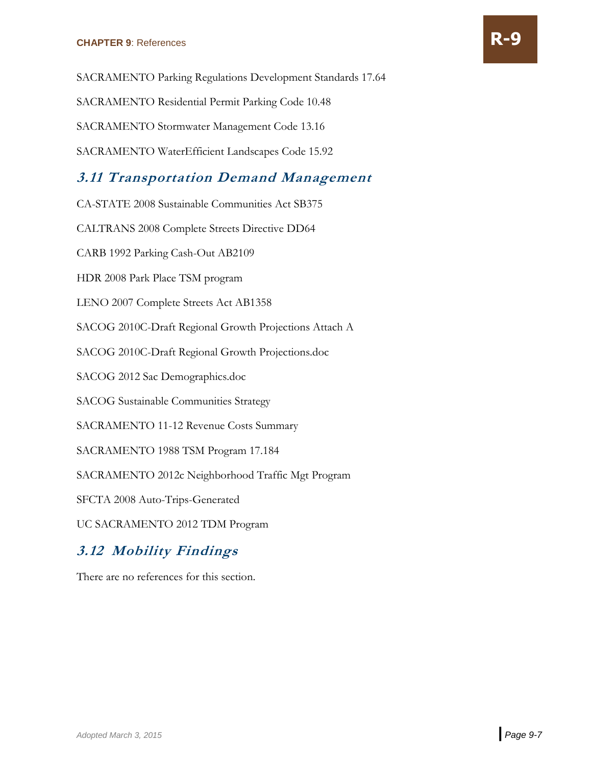SACRAMENTO Residential Permit Parking Code 10.48

SACRAMENTO Stormwater Management Code 13.16

SACRAMENTO WaterEfficient Landscapes Code 15.92

### **3.11 Transportation Demand Management**

CA-STATE 2008 Sustainable Communities Act SB375

CALTRANS 2008 Complete Streets Directive DD64

CARB 1992 Parking Cash-Out AB2109

HDR 2008 Park Place TSM program

LENO 2007 Complete Streets Act AB1358

SACOG 2010C-Draft Regional Growth Projections Attach A

SACOG 2010C-Draft Regional Growth Projections.doc

SACOG 2012 Sac Demographics.doc

SACOG Sustainable Communities Strategy

SACRAMENTO 11-12 Revenue Costs Summary

SACRAMENTO 1988 TSM Program 17.184

SACRAMENTO 2012c Neighborhood Traffic Mgt Program

SFCTA 2008 Auto-Trips-Generated

UC SACRAMENTO 2012 TDM Program

#### **3.12 Mobility Findings**

There are no references for this section.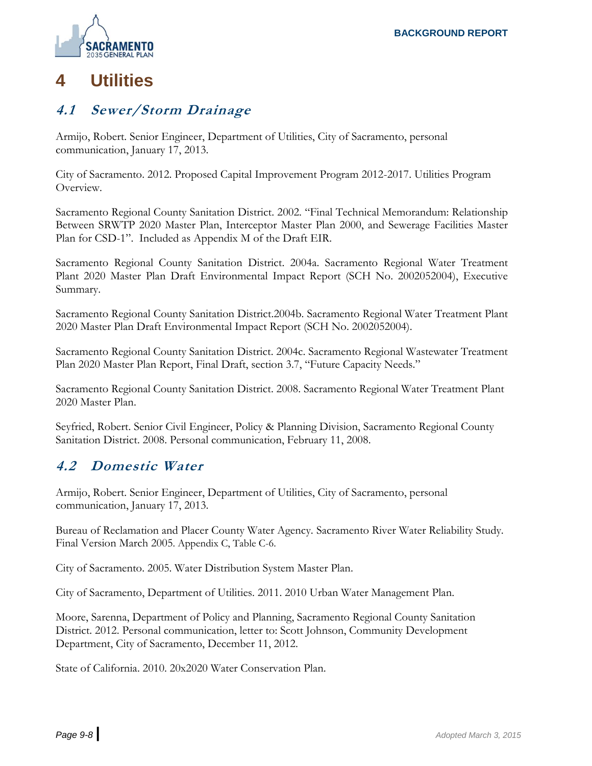

# **4 Utilities**

#### **4.1 Sewer/Storm Drainage**

Armijo, Robert. Senior Engineer, Department of Utilities, City of Sacramento, personal communication, January 17, 2013.

City of Sacramento. 2012. Proposed Capital Improvement Program 2012-2017. Utilities Program Overview.

Sacramento Regional County Sanitation District. 2002. "Final Technical Memorandum: Relationship Between SRWTP 2020 Master Plan, Interceptor Master Plan 2000, and Sewerage Facilities Master Plan for CSD-1". Included as Appendix M of the Draft EIR.

Sacramento Regional County Sanitation District. 2004a. Sacramento Regional Water Treatment Plant 2020 Master Plan Draft Environmental Impact Report (SCH No. 2002052004), Executive Summary.

Sacramento Regional County Sanitation District.2004b. Sacramento Regional Water Treatment Plant 2020 Master Plan Draft Environmental Impact Report (SCH No. 2002052004).

Sacramento Regional County Sanitation District. 2004c. Sacramento Regional Wastewater Treatment Plan 2020 Master Plan Report, Final Draft, section 3.7, "Future Capacity Needs."

Sacramento Regional County Sanitation District. 2008. Sacramento Regional Water Treatment Plant 2020 Master Plan.

Seyfried, Robert. Senior Civil Engineer, Policy & Planning Division, Sacramento Regional County Sanitation District. 2008. Personal communication, February 11, 2008.

#### **4.2 Domestic Water**

Armijo, Robert. Senior Engineer, Department of Utilities, City of Sacramento, personal communication, January 17, 2013.

Bureau of Reclamation and Placer County Water Agency. Sacramento River Water Reliability Study. Final Version March 2005. Appendix C, Table C-6.

City of Sacramento. 2005. Water Distribution System Master Plan.

City of Sacramento, Department of Utilities. 2011. 2010 Urban Water Management Plan.

Moore, Sarenna, Department of Policy and Planning, Sacramento Regional County Sanitation District. 2012. Personal communication, letter to: Scott Johnson, Community Development Department, City of Sacramento, December 11, 2012.

State of California. 2010. 20x2020 Water Conservation Plan.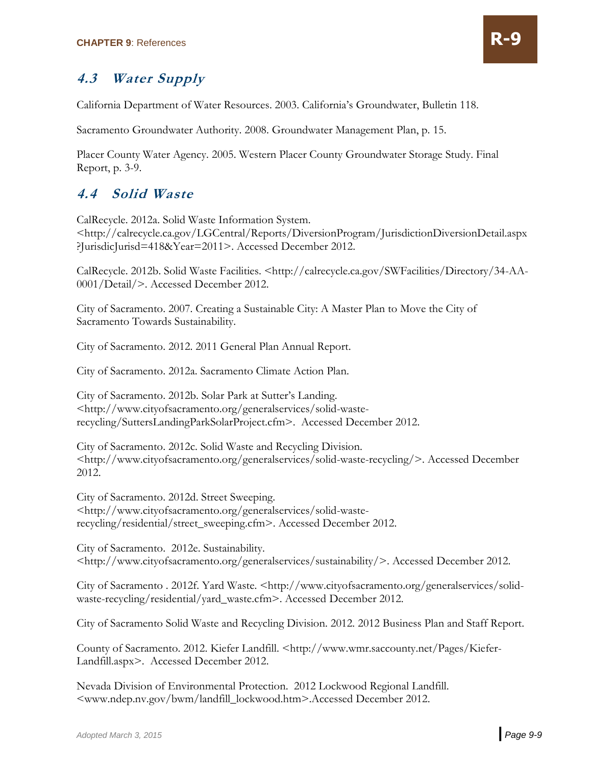# **4.3 Water Supply**

California Department of Water Resources. 2003. California's Groundwater, Bulletin 118.

Sacramento Groundwater Authority. 2008. Groundwater Management Plan, p. 15.

Placer County Water Agency. 2005. Western Placer County Groundwater Storage Study. Final Report, p. 3-9.

#### **4.4 Solid Waste**

CalRecycle. 2012a. Solid Waste Information System. <http://calrecycle.ca.gov/LGCentral/Reports/DiversionProgram/JurisdictionDiversionDetail.aspx ?JurisdicJurisd=418&Year=2011>. Accessed December 2012.

CalRecycle. 2012b. Solid Waste Facilities. <http://calrecycle.ca.gov/SWFacilities/Directory/34-AA-0001/Detail/>. Accessed December 2012.

City of Sacramento. 2007. Creating a Sustainable City: A Master Plan to Move the City of Sacramento Towards Sustainability.

City of Sacramento. 2012. 2011 General Plan Annual Report.

City of Sacramento. 2012a. Sacramento Climate Action Plan.

City of Sacramento. 2012b. Solar Park at Sutter's Landing. <http://www.cityofsacramento.org/generalservices/solid-wasterecycling/SuttersLandingParkSolarProject.cfm>. Accessed December 2012.

City of Sacramento. 2012c. Solid Waste and Recycling Division. <http://www.cityofsacramento.org/generalservices/solid-waste-recycling/>. Accessed December 2012.

City of Sacramento. 2012d. Street Sweeping. <http://www.cityofsacramento.org/generalservices/solid-wasterecycling/residential/street\_sweeping.cfm>. Accessed December 2012.

City of Sacramento. 2012e. Sustainability. <http://www.cityofsacramento.org/generalservices/sustainability/>. Accessed December 2012.

City of Sacramento . 2012f. Yard Waste. <http://www.cityofsacramento.org/generalservices/solidwaste-recycling/residential/yard\_waste.cfm>. Accessed December 2012.

City of Sacramento Solid Waste and Recycling Division. 2012. 2012 Business Plan and Staff Report.

County of Sacramento. 2012. Kiefer Landfill. <http://www.wmr.saccounty.net/Pages/Kiefer-Landfill.aspx>. Accessed December 2012.

Nevada Division of Environmental Protection. 2012 Lockwood Regional Landfill. <www.ndep.nv.gov/bwm/landfill\_lockwood.htm>.Accessed December 2012.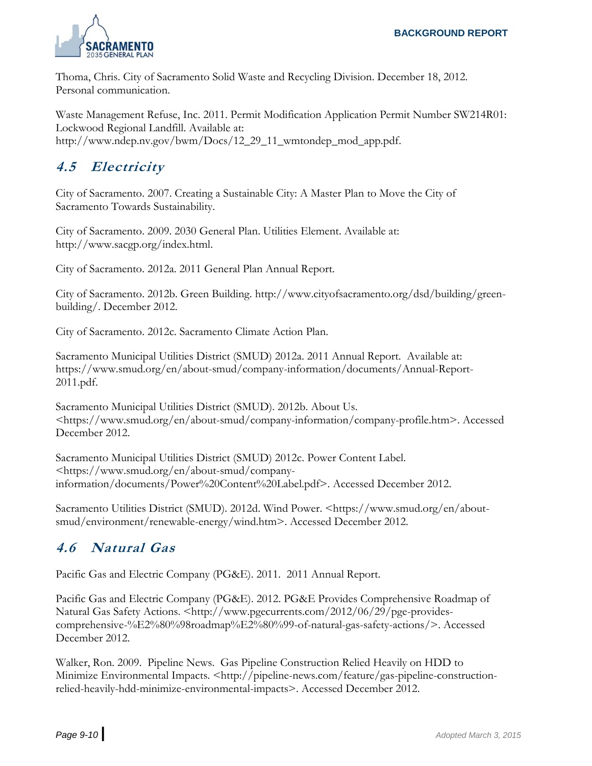

Thoma, Chris. City of Sacramento Solid Waste and Recycling Division. December 18, 2012. Personal communication.

Waste Management Refuse, Inc. 2011. Permit Modification Application Permit Number SW214R01: Lockwood Regional Landfill. Available at: http://www.ndep.nv.gov/bwm/Docs/12\_29\_11\_wmtondep\_mod\_app.pdf.

## **4.5 Electricity**

City of Sacramento. 2007. Creating a Sustainable City: A Master Plan to Move the City of Sacramento Towards Sustainability.

City of Sacramento. 2009. 2030 General Plan. Utilities Element. Available at: http://www.sacgp.org/index.html.

City of Sacramento. 2012a. 2011 General Plan Annual Report.

City of Sacramento. 2012b. Green Building. http://www.cityofsacramento.org/dsd/building/greenbuilding/. December 2012.

City of Sacramento. 2012c. Sacramento Climate Action Plan.

Sacramento Municipal Utilities District (SMUD) 2012a. 2011 Annual Report. Available at: https://www.smud.org/en/about-smud/company-information/documents/Annual-Report-2011.pdf.

Sacramento Municipal Utilities District (SMUD). 2012b. About Us. <https://www.smud.org/en/about-smud/company-information/company-profile.htm>. Accessed December 2012.

Sacramento Municipal Utilities District (SMUD) 2012c. Power Content Label. <https://www.smud.org/en/about-smud/companyinformation/documents/Power%20Content%20Label.pdf>. Accessed December 2012.

Sacramento Utilities District (SMUD). 2012d. Wind Power. <https://www.smud.org/en/aboutsmud/environment/renewable-energy/wind.htm>. Accessed December 2012.

# **4.6 Natural Gas**

Pacific Gas and Electric Company (PG&E). 2011. 2011 Annual Report.

Pacific Gas and Electric Company (PG&E). 2012. PG&E Provides Comprehensive Roadmap of Natural Gas Safety Actions. <http://www.pgecurrents.com/2012/06/29/pge-providescomprehensive-%E2%80%98roadmap%E2%80%99-of-natural-gas-safety-actions/>. Accessed December 2012.

Walker, Ron. 2009. Pipeline News. Gas Pipeline Construction Relied Heavily on HDD to Minimize Environmental Impacts. <http://pipeline-news.com/feature/gas-pipeline-constructionrelied-heavily-hdd-minimize-environmental-impacts>. Accessed December 2012.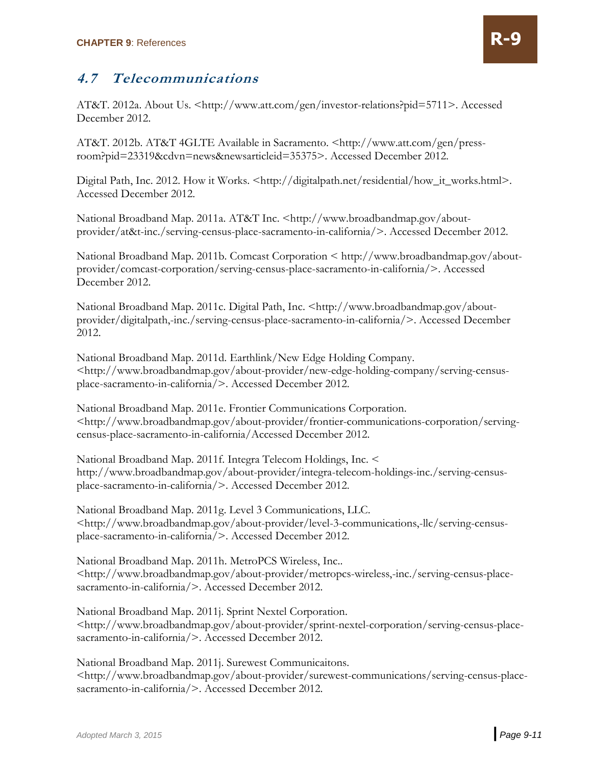## **4.7 Telecommunications**

AT&T. 2012a. About Us. <http://www.att.com/gen/investor-relations?pid=5711>. Accessed December 2012.

AT&T. 2012b. AT&T 4GLTE Available in Sacramento. <http://www.att.com/gen/pressroom?pid=23319&cdvn=news&newsarticleid=35375>. Accessed December 2012.

Digital Path, Inc. 2012. How it Works. <http://digitalpath.net/residential/how\_it\_works.html>. Accessed December 2012.

National Broadband Map. 2011a. AT&T Inc. <http://www.broadbandmap.gov/aboutprovider/at&t-inc./serving-census-place-sacramento-in-california/>. Accessed December 2012.

National Broadband Map. 2011b. Comcast Corporation < http://www.broadbandmap.gov/aboutprovider/comcast-corporation/serving-census-place-sacramento-in-california/>. Accessed December 2012.

National Broadband Map. 2011c. Digital Path, Inc. <http://www.broadbandmap.gov/aboutprovider/digitalpath,-inc./serving-census-place-sacramento-in-california/>. Accessed December 2012.

National Broadband Map. 2011d. Earthlink/New Edge Holding Company. <http://www.broadbandmap.gov/about-provider/new-edge-holding-company/serving-censusplace-sacramento-in-california/>. Accessed December 2012.

National Broadband Map. 2011e. Frontier Communications Corporation. <http://www.broadbandmap.gov/about-provider/frontier-communications-corporation/servingcensus-place-sacramento-in-california/Accessed December 2012.

National Broadband Map. 2011f. Integra Telecom Holdings, Inc. < http://www.broadbandmap.gov/about-provider/integra-telecom-holdings-inc./serving-censusplace-sacramento-in-california/>. Accessed December 2012.

National Broadband Map. 2011g. Level 3 Communications, LLC. <http://www.broadbandmap.gov/about-provider/level-3-communications,-llc/serving-censusplace-sacramento-in-california/>. Accessed December 2012.

National Broadband Map. 2011h. MetroPCS Wireless, Inc.. <http://www.broadbandmap.gov/about-provider/metropcs-wireless,-inc./serving-census-placesacramento-in-california/>. Accessed December 2012.

National Broadband Map. 2011j. Sprint Nextel Corporation. <http://www.broadbandmap.gov/about-provider/sprint-nextel-corporation/serving-census-placesacramento-in-california/>. Accessed December 2012.

National Broadband Map. 2011j. Surewest Communicaitons. <http://www.broadbandmap.gov/about-provider/surewest-communications/serving-census-placesacramento-in-california/>. Accessed December 2012.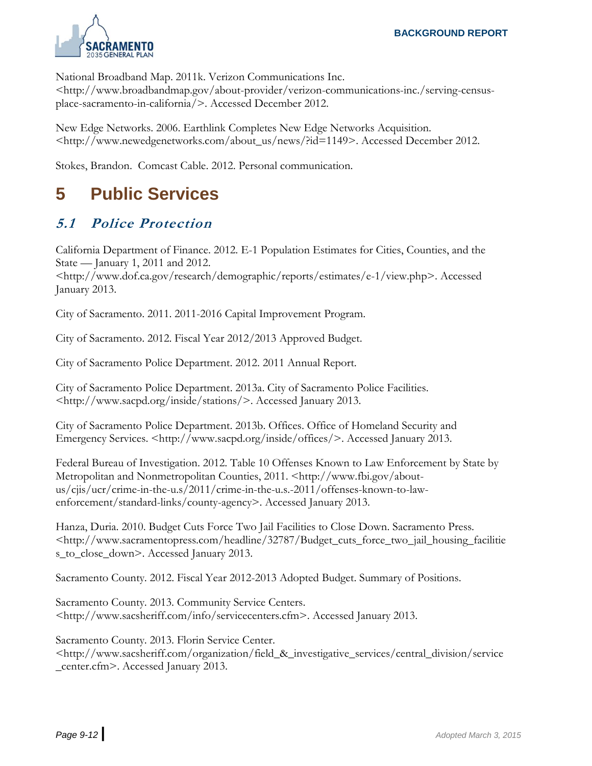

National Broadband Map. 2011k. Verizon Communications Inc.

<http://www.broadbandmap.gov/about-provider/verizon-communications-inc./serving-censusplace-sacramento-in-california/>. Accessed December 2012.

New Edge Networks. 2006. Earthlink Completes New Edge Networks Acquisition. <http://www.newedgenetworks.com/about\_us/news/?id=1149>. Accessed December 2012.

Stokes, Brandon. Comcast Cable. 2012. Personal communication.

# **5 Public Services**

# **5.1 Police Protection**

California Department of Finance. 2012. E-1 Population Estimates for Cities, Counties, and the State — January 1, 2011 and 2012.

<http://www.dof.ca.gov/research/demographic/reports/estimates/e-1/view.php>. Accessed January 2013.

City of Sacramento. 2011. 2011-2016 Capital Improvement Program.

City of Sacramento. 2012. Fiscal Year 2012/2013 Approved Budget.

City of Sacramento Police Department. 2012. 2011 Annual Report.

City of Sacramento Police Department. 2013a. City of Sacramento Police Facilities. <http://www.sacpd.org/inside/stations/>. Accessed January 2013.

City of Sacramento Police Department. 2013b. Offices. Office of Homeland Security and Emergency Services. <http://www.sacpd.org/inside/offices/>. Accessed January 2013.

Federal Bureau of Investigation. 2012. Table 10 Offenses Known to Law Enforcement by State by Metropolitan and Nonmetropolitan Counties, 2011. <http://www.fbi.gov/aboutus/cjis/ucr/crime-in-the-u.s/2011/crime-in-the-u.s.-2011/offenses-known-to-lawenforcement/standard-links/county-agency>. Accessed January 2013.

Hanza, Duria. 2010. Budget Cuts Force Two Jail Facilities to Close Down. Sacramento Press. <http://www.sacramentopress.com/headline/32787/Budget\_cuts\_force\_two\_jail\_housing\_facilitie s\_to\_close\_down>. Accessed January 2013.

Sacramento County. 2012. Fiscal Year 2012-2013 Adopted Budget. Summary of Positions.

Sacramento County. 2013. Community Service Centers. <http://www.sacsheriff.com/info/servicecenters.cfm>. Accessed January 2013.

Sacramento County. 2013. Florin Service Center.

<http://www.sacsheriff.com/organization/field\_&\_investigative\_services/central\_division/service \_center.cfm>. Accessed January 2013.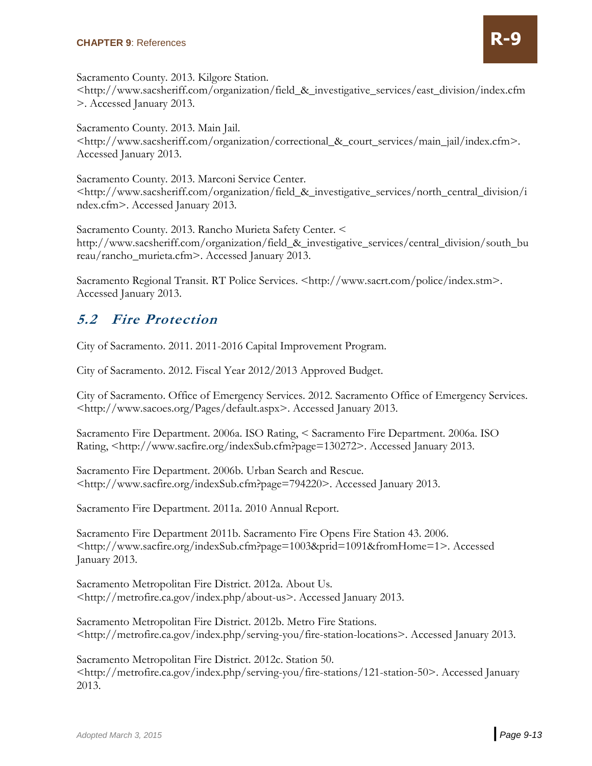

<http://www.sacsheriff.com/organization/field\_&\_investigative\_services/east\_division/index.cfm >. Accessed January 2013.

Sacramento County. 2013. Main Jail. <http://www.sacsheriff.com/organization/correctional\_&\_court\_services/main\_jail/index.cfm>. Accessed January 2013.

Sacramento County. 2013. Marconi Service Center. <http://www.sacsheriff.com/organization/field\_&\_investigative\_services/north\_central\_division/i ndex.cfm>. Accessed January 2013.

Sacramento County. 2013. Rancho Murieta Safety Center. < http://www.sacsheriff.com/organization/field\_&\_investigative\_services/central\_division/south\_bu reau/rancho\_murieta.cfm>. Accessed January 2013.

Sacramento Regional Transit. RT Police Services. <http://www.sacrt.com/police/index.stm>. Accessed January 2013.

#### **5.2 Fire Protection**

City of Sacramento. 2011. 2011-2016 Capital Improvement Program.

City of Sacramento. 2012. Fiscal Year 2012/2013 Approved Budget.

City of Sacramento. Office of Emergency Services. 2012. Sacramento Office of Emergency Services. <http://www.sacoes.org/Pages/default.aspx>. Accessed January 2013.

Sacramento Fire Department. 2006a. ISO Rating, < Sacramento Fire Department. 2006a. ISO Rating, <http://www.sacfire.org/indexSub.cfm?page=130272>. Accessed January 2013.

Sacramento Fire Department. 2006b. Urban Search and Rescue. <http://www.sacfire.org/indexSub.cfm?page=794220>. Accessed January 2013.

Sacramento Fire Department. 2011a. 2010 Annual Report.

Sacramento Fire Department 2011b. Sacramento Fire Opens Fire Station 43. 2006. <http://www.sacfire.org/indexSub.cfm?page=1003&prid=1091&fromHome=1>. Accessed January 2013.

Sacramento Metropolitan Fire District. 2012a. About Us. <http://metrofire.ca.gov/index.php/about-us>. Accessed January 2013.

Sacramento Metropolitan Fire District. 2012b. Metro Fire Stations. <http://metrofire.ca.gov/index.php/serving-you/fire-station-locations>. Accessed January 2013.

Sacramento Metropolitan Fire District. 2012c. Station 50. <http://metrofire.ca.gov/index.php/serving-you/fire-stations/121-station-50>. Accessed January 2013.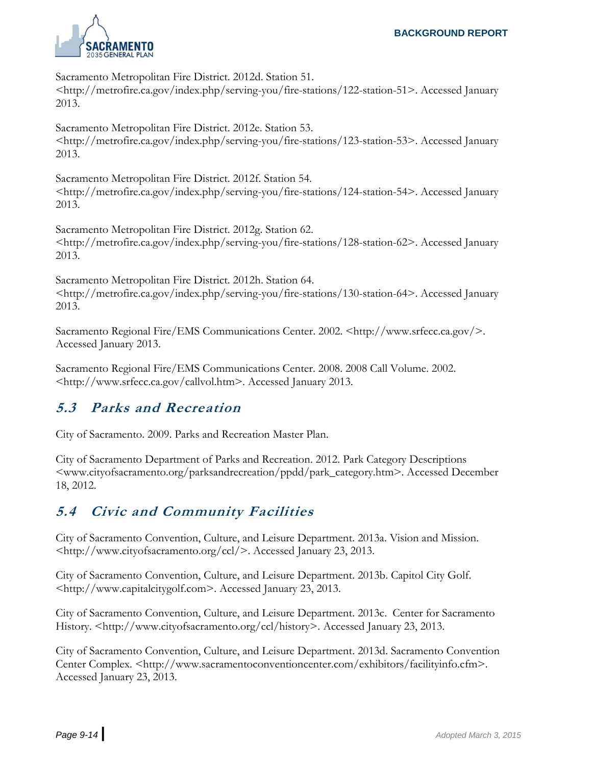

Sacramento Metropolitan Fire District. 2012d. Station 51. <http://metrofire.ca.gov/index.php/serving-you/fire-stations/122-station-51>. Accessed January 2013.

Sacramento Metropolitan Fire District. 2012e. Station 53. <http://metrofire.ca.gov/index.php/serving-you/fire-stations/123-station-53>. Accessed January 2013.

Sacramento Metropolitan Fire District. 2012f. Station 54. <http://metrofire.ca.gov/index.php/serving-you/fire-stations/124-station-54>. Accessed January 2013.

Sacramento Metropolitan Fire District. 2012g. Station 62. <http://metrofire.ca.gov/index.php/serving-you/fire-stations/128-station-62>. Accessed January 2013.

Sacramento Metropolitan Fire District. 2012h. Station 64. <http://metrofire.ca.gov/index.php/serving-you/fire-stations/130-station-64>. Accessed January 2013.

Sacramento Regional Fire/EMS Communications Center. 2002. <http://www.srfecc.ca.gov/>. Accessed January 2013.

Sacramento Regional Fire/EMS Communications Center. 2008. 2008 Call Volume. 2002. <http://www.srfecc.ca.gov/callvol.htm>. Accessed January 2013.

#### **5.3 Parks and Recreation**

City of Sacramento. 2009. Parks and Recreation Master Plan.

City of Sacramento Department of Parks and Recreation. 2012. Park Category Descriptions <www.cityofsacramento.org/parksandrecreation/ppdd/park\_category.htm>. Accessed December 18, 2012.

#### **5.4 Civic and Community Facilities**

City of Sacramento Convention, Culture, and Leisure Department. 2013a. Vision and Mission. <http://www.cityofsacramento.org/ccl/>. Accessed January 23, 2013.

City of Sacramento Convention, Culture, and Leisure Department. 2013b. Capitol City Golf. <http://www.capitalcitygolf.com>. Accessed January 23, 2013.

City of Sacramento Convention, Culture, and Leisure Department. 2013c. Center for Sacramento History. <http://www.cityofsacramento.org/ccl/history>. Accessed January 23, 2013.

City of Sacramento Convention, Culture, and Leisure Department. 2013d. Sacramento Convention Center Complex. <http://www.sacramentoconventioncenter.com/exhibitors/facilityinfo.cfm>. Accessed January 23, 2013.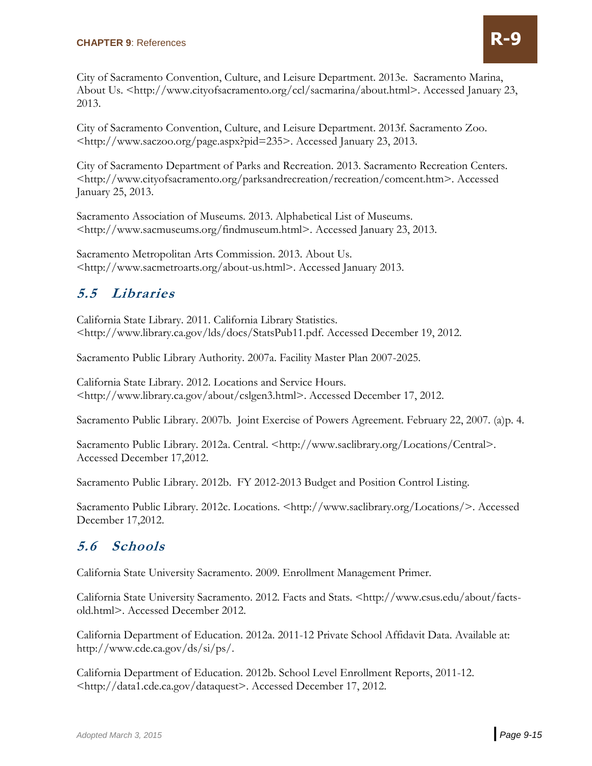City of Sacramento Convention, Culture, and Leisure Department. 2013e. Sacramento Marina, About Us. <http://www.cityofsacramento.org/ccl/sacmarina/about.html>. Accessed January 23, 2013.

City of Sacramento Convention, Culture, and Leisure Department. 2013f. Sacramento Zoo. <http://www.saczoo.org/page.aspx?pid=235>. Accessed January 23, 2013.

City of Sacramento Department of Parks and Recreation. 2013. Sacramento Recreation Centers. <http://www.cityofsacramento.org/parksandrecreation/recreation/comcent.htm>. Accessed January 25, 2013.

Sacramento Association of Museums. 2013. Alphabetical List of Museums. <http://www.sacmuseums.org/findmuseum.html>. Accessed January 23, 2013.

Sacramento Metropolitan Arts Commission. 2013. About Us. <http://www.sacmetroarts.org/about-us.html>. Accessed January 2013.

## **5.5 Libraries**

California State Library. 2011. California Library Statistics. <http://www.library.ca.gov/lds/docs/StatsPub11.pdf. Accessed December 19, 2012.

Sacramento Public Library Authority. 2007a. Facility Master Plan 2007-2025.

California State Library. 2012. Locations and Service Hours. <http://www.library.ca.gov/about/cslgen3.html>. Accessed December 17, 2012.

Sacramento Public Library. 2007b. Joint Exercise of Powers Agreement. February 22, 2007. (a)p. 4.

Sacramento Public Library. 2012a. Central. <http://www.saclibrary.org/Locations/Central>. Accessed December 17,2012.

Sacramento Public Library. 2012b. FY 2012-2013 Budget and Position Control Listing.

Sacramento Public Library. 2012c. Locations. <http://www.saclibrary.org/Locations/>. Accessed December 17,2012.

#### **5.6 Schools**

California State University Sacramento. 2009. Enrollment Management Primer.

California State University Sacramento. 2012. Facts and Stats. <http://www.csus.edu/about/factsold.html>. Accessed December 2012.

California Department of Education. 2012a. 2011-12 Private School Affidavit Data. Available at: http://www.cde.ca.gov/ds/si/ps/.

California Department of Education. 2012b. School Level Enrollment Reports, 2011-12. <http://data1.cde.ca.gov/dataquest>. Accessed December 17, 2012.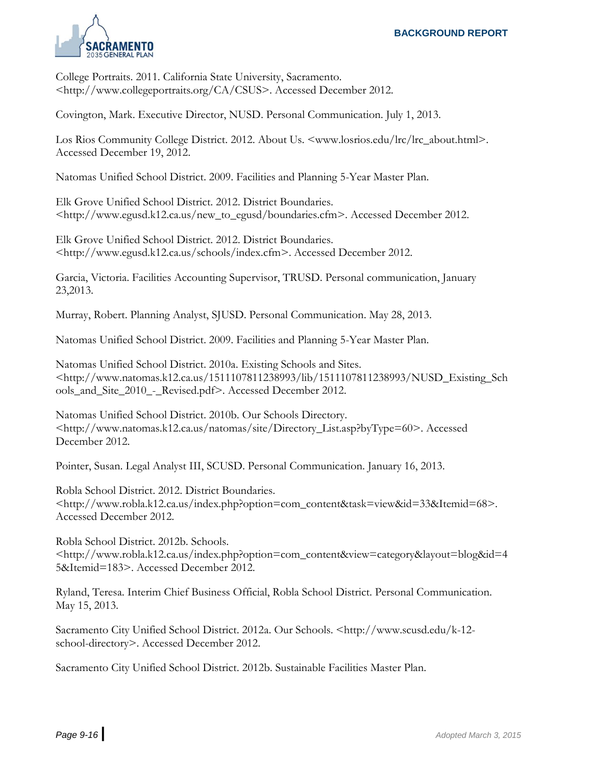

College Portraits. 2011. California State University, Sacramento. <http://www.collegeportraits.org/CA/CSUS>. Accessed December 2012.

Covington, Mark. Executive Director, NUSD. Personal Communication. July 1, 2013.

Los Rios Community College District. 2012. About Us. <www.losrios.edu/lrc/lrc\_about.html>. Accessed December 19, 2012.

Natomas Unified School District. 2009. Facilities and Planning 5-Year Master Plan.

Elk Grove Unified School District. 2012. District Boundaries. <http://www.egusd.k12.ca.us/new\_to\_egusd/boundaries.cfm>. Accessed December 2012.

Elk Grove Unified School District. 2012. District Boundaries. <http://www.egusd.k12.ca.us/schools/index.cfm>. Accessed December 2012.

Garcia, Victoria. Facilities Accounting Supervisor, TRUSD. Personal communication, January 23,2013.

Murray, Robert. Planning Analyst, SJUSD. Personal Communication. May 28, 2013.

Natomas Unified School District. 2009. Facilities and Planning 5-Year Master Plan.

Natomas Unified School District. 2010a. Existing Schools and Sites. <http://www.natomas.k12.ca.us/1511107811238993/lib/1511107811238993/NUSD\_Existing\_Sch ools\_and\_Site\_2010\_-\_Revised.pdf>. Accessed December 2012.

Natomas Unified School District. 2010b. Our Schools Directory. <http://www.natomas.k12.ca.us/natomas/site/Directory\_List.asp?byType=60>. Accessed December 2012.

Pointer, Susan. Legal Analyst III, SCUSD. Personal Communication. January 16, 2013.

Robla School District. 2012. District Boundaries. <http://www.robla.k12.ca.us/index.php?option=com\_content&task=view&id=33&Itemid=68>. Accessed December 2012.

Robla School District. 2012b. Schools. <http://www.robla.k12.ca.us/index.php?option=com\_content&view=category&layout=blog&id=4 5&Itemid=183>. Accessed December 2012.

Ryland, Teresa. Interim Chief Business Official, Robla School District. Personal Communication. May 15, 2013.

Sacramento City Unified School District. 2012a. Our Schools. <http://www.scusd.edu/k-12 school-directory>. Accessed December 2012.

Sacramento City Unified School District. 2012b. Sustainable Facilities Master Plan.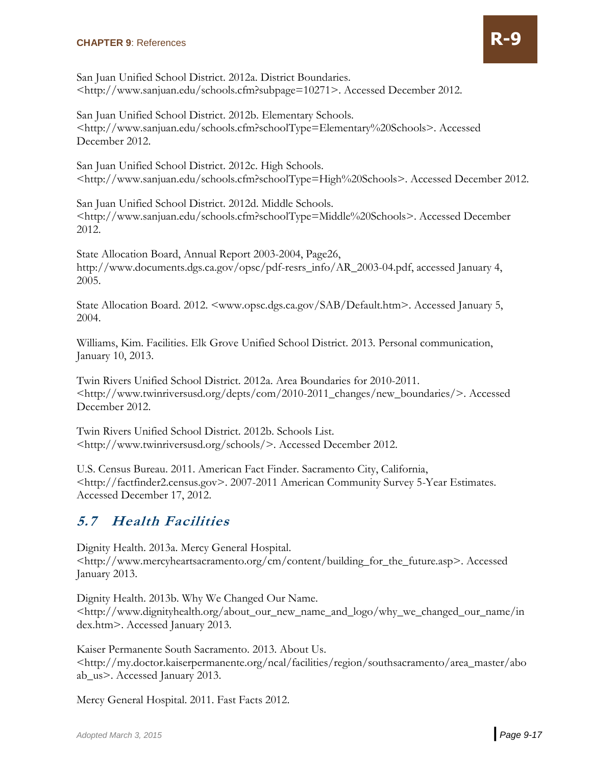

San Juan Unified School District. 2012a. District Boundaries. <http://www.sanjuan.edu/schools.cfm?subpage=10271>. Accessed December 2012.

San Juan Unified School District. 2012b. Elementary Schools. <http://www.sanjuan.edu/schools.cfm?schoolType=Elementary%20Schools>. Accessed December 2012.

San Juan Unified School District. 2012c. High Schools. <http://www.sanjuan.edu/schools.cfm?schoolType=High%20Schools>. Accessed December 2012.

San Juan Unified School District. 2012d. Middle Schools. <http://www.sanjuan.edu/schools.cfm?schoolType=Middle%20Schools>. Accessed December 2012.

State Allocation Board, Annual Report 2003-2004, Page26, http://www.documents.dgs.ca.gov/opsc/pdf-resrs\_info/AR\_2003-04.pdf, accessed January 4, 2005.

State Allocation Board. 2012. <www.opsc.dgs.ca.gov/SAB/Default.htm>. Accessed January 5, 2004.

Williams, Kim. Facilities. Elk Grove Unified School District. 2013. Personal communication, January 10, 2013.

Twin Rivers Unified School District. 2012a. Area Boundaries for 2010-2011. <http://www.twinriversusd.org/depts/com/2010-2011\_changes/new\_boundaries/>. Accessed December 2012.

Twin Rivers Unified School District. 2012b. Schools List. <http://www.twinriversusd.org/schools/>. Accessed December 2012.

U.S. Census Bureau. 2011. American Fact Finder. Sacramento City, California, <http://factfinder2.census.gov>. 2007-2011 American Community Survey 5-Year Estimates. Accessed December 17, 2012.

#### **5.7 Health Facilities**

Dignity Health. 2013a. Mercy General Hospital. <http://www.mercyheartsacramento.org/cm/content/building\_for\_the\_future.asp>. Accessed January 2013.

Dignity Health. 2013b. Why We Changed Our Name. <http://www.dignityhealth.org/about\_our\_new\_name\_and\_logo/why\_we\_changed\_our\_name/in dex.htm>. Accessed January 2013.

Kaiser Permanente South Sacramento. 2013. About Us. <http://my.doctor.kaiserpermanente.org/ncal/facilities/region/southsacramento/area\_master/abo ab\_us>. Accessed January 2013.

Mercy General Hospital. 2011. Fast Facts 2012.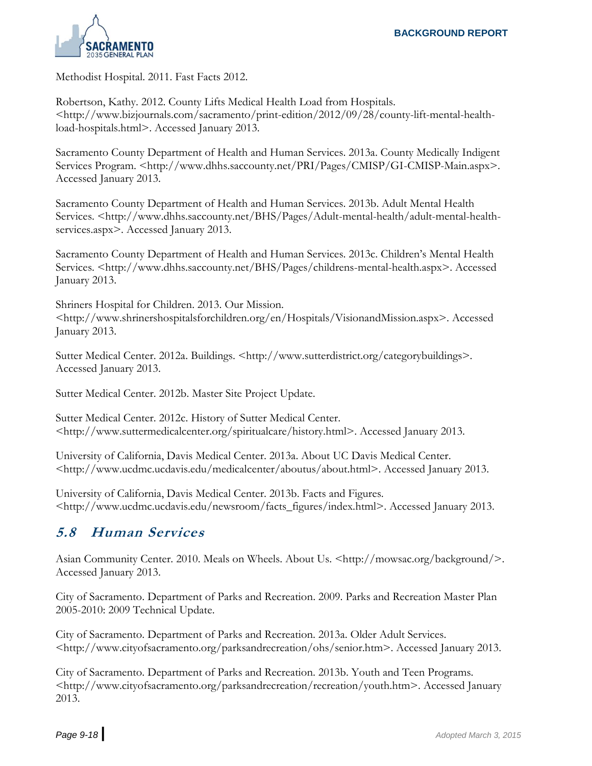

Methodist Hospital. 2011. Fast Facts 2012.

Robertson, Kathy. 2012. County Lifts Medical Health Load from Hospitals. <http://www.bizjournals.com/sacramento/print-edition/2012/09/28/county-lift-mental-healthload-hospitals.html>. Accessed January 2013.

Sacramento County Department of Health and Human Services. 2013a. County Medically Indigent Services Program. <http://www.dhhs.saccounty.net/PRI/Pages/CMISP/GI-CMISP-Main.aspx>. Accessed January 2013.

Sacramento County Department of Health and Human Services. 2013b. Adult Mental Health Services. <http://www.dhhs.saccounty.net/BHS/Pages/Adult-mental-health/adult-mental-healthservices.aspx>. Accessed January 2013.

Sacramento County Department of Health and Human Services. 2013c. Children's Mental Health Services. <http://www.dhhs.saccounty.net/BHS/Pages/childrens-mental-health.aspx>. Accessed January 2013.

Shriners Hospital for Children. 2013. Our Mission. <http://www.shrinershospitalsforchildren.org/en/Hospitals/VisionandMission.aspx>. Accessed January 2013.

Sutter Medical Center. 2012a. Buildings. <http://www.sutterdistrict.org/categorybuildings>. Accessed January 2013.

Sutter Medical Center. 2012b. Master Site Project Update.

Sutter Medical Center. 2012c. History of Sutter Medical Center. <http://www.suttermedicalcenter.org/spiritualcare/history.html>. Accessed January 2013.

University of California, Davis Medical Center. 2013a. About UC Davis Medical Center. <http://www.ucdmc.ucdavis.edu/medicalcenter/aboutus/about.html>. Accessed January 2013.

University of California, Davis Medical Center. 2013b. Facts and Figures. <http://www.ucdmc.ucdavis.edu/newsroom/facts\_figures/index.html>. Accessed January 2013.

#### **5.8 Human Services**

Asian Community Center. 2010. Meals on Wheels. About Us. <http://mowsac.org/background/>. Accessed January 2013.

City of Sacramento. Department of Parks and Recreation. 2009. Parks and Recreation Master Plan 2005-2010: 2009 Technical Update.

City of Sacramento. Department of Parks and Recreation. 2013a. Older Adult Services. <http://www.cityofsacramento.org/parksandrecreation/ohs/senior.htm>. Accessed January 2013.

City of Sacramento. Department of Parks and Recreation. 2013b. Youth and Teen Programs. <http://www.cityofsacramento.org/parksandrecreation/recreation/youth.htm>. Accessed January 2013.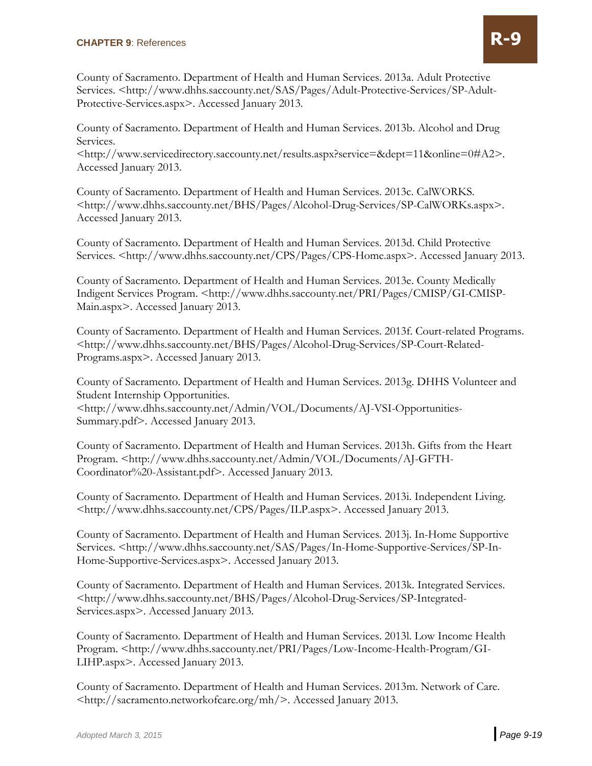County of Sacramento. Department of Health and Human Services. 2013a. Adult Protective Services. <http://www.dhhs.saccounty.net/SAS/Pages/Adult-Protective-Services/SP-Adult-Protective-Services.aspx>. Accessed January 2013.

County of Sacramento. Department of Health and Human Services. 2013b. Alcohol and Drug Services.

<http://www.servicedirectory.saccounty.net/results.aspx?service=&dept=11&online=0#A2>. Accessed January 2013.

County of Sacramento. Department of Health and Human Services. 2013c. CalWORKS. <http://www.dhhs.saccounty.net/BHS/Pages/Alcohol-Drug-Services/SP-CalWORKs.aspx>. Accessed January 2013.

County of Sacramento. Department of Health and Human Services. 2013d. Child Protective Services. <http://www.dhhs.saccounty.net/CPS/Pages/CPS-Home.aspx>. Accessed January 2013.

County of Sacramento. Department of Health and Human Services. 2013e. County Medically Indigent Services Program. <http://www.dhhs.saccounty.net/PRI/Pages/CMISP/GI-CMISP-Main.aspx>. Accessed January 2013.

County of Sacramento. Department of Health and Human Services. 2013f. Court-related Programs. <http://www.dhhs.saccounty.net/BHS/Pages/Alcohol-Drug-Services/SP-Court-Related-Programs.aspx>. Accessed January 2013.

County of Sacramento. Department of Health and Human Services. 2013g. DHHS Volunteer and Student Internship Opportunities.

<http://www.dhhs.saccounty.net/Admin/VOL/Documents/AJ-VSI-Opportunities-Summary.pdf>. Accessed January 2013.

County of Sacramento. Department of Health and Human Services. 2013h. Gifts from the Heart Program. <http://www.dhhs.saccounty.net/Admin/VOL/Documents/AJ-GFTH-Coordinator%20-Assistant.pdf>. Accessed January 2013.

County of Sacramento. Department of Health and Human Services. 2013i. Independent Living. <http://www.dhhs.saccounty.net/CPS/Pages/ILP.aspx>. Accessed January 2013.

County of Sacramento. Department of Health and Human Services. 2013j. In-Home Supportive Services. <http://www.dhhs.saccounty.net/SAS/Pages/In-Home-Supportive-Services/SP-In-Home-Supportive-Services.aspx>. Accessed January 2013.

County of Sacramento. Department of Health and Human Services. 2013k. Integrated Services. <http://www.dhhs.saccounty.net/BHS/Pages/Alcohol-Drug-Services/SP-Integrated-Services.aspx>. Accessed January 2013.

County of Sacramento. Department of Health and Human Services. 2013l. Low Income Health Program. <http://www.dhhs.saccounty.net/PRI/Pages/Low-Income-Health-Program/GI-LIHP.aspx>. Accessed January 2013.

County of Sacramento. Department of Health and Human Services. 2013m. Network of Care. <http://sacramento.networkofcare.org/mh/>. Accessed January 2013.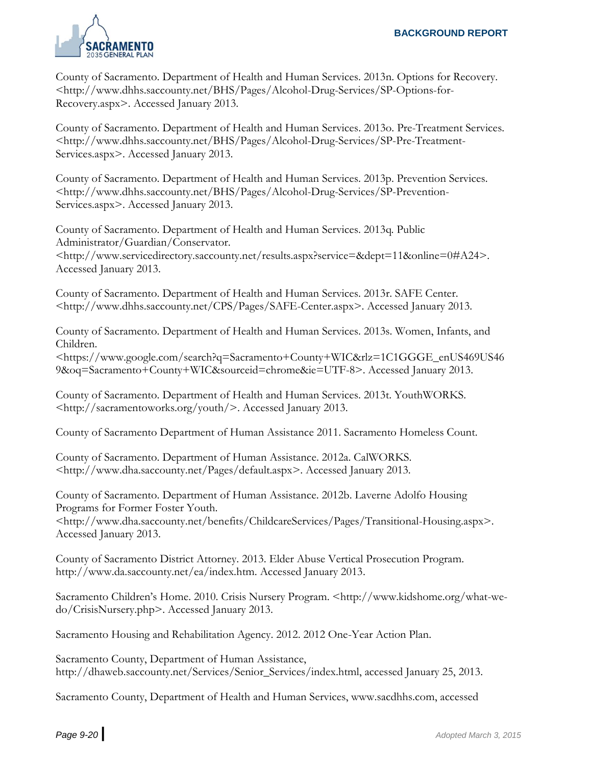

County of Sacramento. Department of Health and Human Services. 2013n. Options for Recovery. <http://www.dhhs.saccounty.net/BHS/Pages/Alcohol-Drug-Services/SP-Options-for-Recovery.aspx>. Accessed January 2013.

County of Sacramento. Department of Health and Human Services. 2013o. Pre-Treatment Services. <http://www.dhhs.saccounty.net/BHS/Pages/Alcohol-Drug-Services/SP-Pre-Treatment-Services.aspx>. Accessed January 2013.

County of Sacramento. Department of Health and Human Services. 2013p. Prevention Services. <http://www.dhhs.saccounty.net/BHS/Pages/Alcohol-Drug-Services/SP-Prevention-Services.aspx>. Accessed January 2013.

County of Sacramento. Department of Health and Human Services. 2013q. Public Administrator/Guardian/Conservator. <http://www.servicedirectory.saccounty.net/results.aspx?service=&dept=11&online=0#A24>. Accessed January 2013.

County of Sacramento. Department of Health and Human Services. 2013r. SAFE Center. <http://www.dhhs.saccounty.net/CPS/Pages/SAFE-Center.aspx>. Accessed January 2013.

County of Sacramento. Department of Health and Human Services. 2013s. Women, Infants, and Children.

<https://www.google.com/search?q=Sacramento+County+WIC&rlz=1C1GGGE\_enUS469US46 9&oq=Sacramento+County+WIC&sourceid=chrome&ie=UTF-8>. Accessed January 2013.

County of Sacramento. Department of Health and Human Services. 2013t. YouthWORKS. <http://sacramentoworks.org/youth/>. Accessed January 2013.

County of Sacramento Department of Human Assistance 2011. Sacramento Homeless Count.

County of Sacramento. Department of Human Assistance. 2012a. CalWORKS. <http://www.dha.saccounty.net/Pages/default.aspx>. Accessed January 2013.

County of Sacramento. Department of Human Assistance. 2012b. Laverne Adolfo Housing Programs for Former Foster Youth.

<http://www.dha.saccounty.net/benefits/ChildcareServices/Pages/Transitional-Housing.aspx>. Accessed January 2013.

County of Sacramento District Attorney. 2013. Elder Abuse Vertical Prosecution Program. http://www.da.saccounty.net/ea/index.htm. Accessed January 2013.

Sacramento Children's Home. 2010. Crisis Nursery Program. <http://www.kidshome.org/what-wedo/CrisisNursery.php>. Accessed January 2013.

Sacramento Housing and Rehabilitation Agency. 2012. 2012 One-Year Action Plan.

Sacramento County, Department of Human Assistance, http://dhaweb.saccounty.net/Services/Senior\_Services/index.html, accessed January 25, 2013.

Sacramento County, Department of Health and Human Services, www.sacdhhs.com, accessed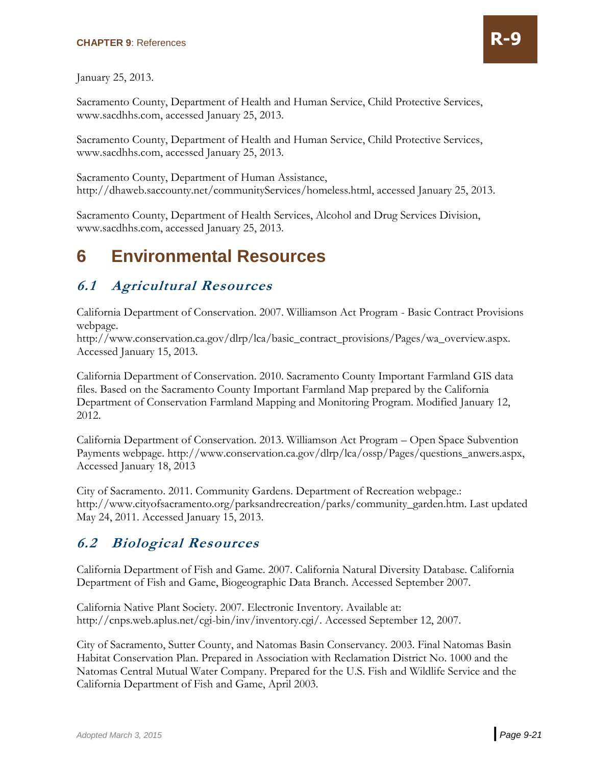January 25, 2013.

Sacramento County, Department of Health and Human Service, Child Protective Services, www.sacdhhs.com, accessed January 25, 2013.

Sacramento County, Department of Health and Human Service, Child Protective Services, www.sacdhhs.com, accessed January 25, 2013.

Sacramento County, Department of Human Assistance, http://dhaweb.saccounty.net/communityServices/homeless.html, accessed January 25, 2013.

Sacramento County, Department of Health Services, Alcohol and Drug Services Division, www.sacdhhs.com, accessed January 25, 2013.

# **6 Environmental Resources**

#### **6.1 Agricultural Resources**

California Department of Conservation. 2007. Williamson Act Program - Basic Contract Provisions webpage.

http://www.conservation.ca.gov/dlrp/lca/basic\_contract\_provisions/Pages/wa\_overview.aspx. Accessed January 15, 2013.

California Department of Conservation. 2010. Sacramento County Important Farmland GIS data files. Based on the Sacramento County Important Farmland Map prepared by the California Department of Conservation Farmland Mapping and Monitoring Program. Modified January 12, 2012.

California Department of Conservation. 2013. Williamson Act Program – Open Space Subvention Payments webpage. http://www.conservation.ca.gov/dlrp/lca/ossp/Pages/questions\_anwers.aspx, Accessed January 18, 2013

City of Sacramento. 2011. Community Gardens. Department of Recreation webpage.: http://www.cityofsacramento.org/parksandrecreation/parks/community\_garden.htm. Last updated May 24, 2011. Accessed January 15, 2013.

#### **6.2 Biological Resources**

California Department of Fish and Game. 2007. California Natural Diversity Database. California Department of Fish and Game, Biogeographic Data Branch. Accessed September 2007.

California Native Plant Society. 2007. Electronic Inventory. Available at: http://cnps.web.aplus.net/cgi-bin/inv/inventory.cgi/. Accessed September 12, 2007.

City of Sacramento, Sutter County, and Natomas Basin Conservancy. 2003. Final Natomas Basin Habitat Conservation Plan. Prepared in Association with Reclamation District No. 1000 and the Natomas Central Mutual Water Company. Prepared for the U.S. Fish and Wildlife Service and the California Department of Fish and Game, April 2003.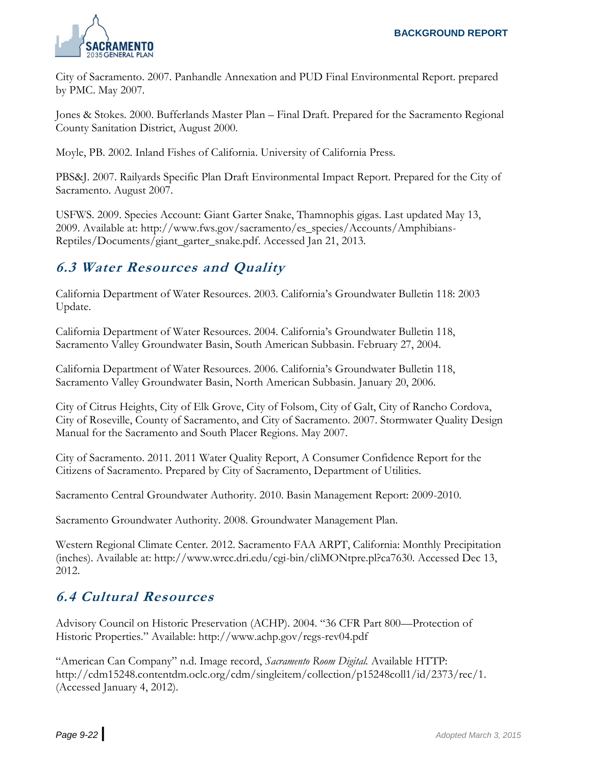

City of Sacramento. 2007. Panhandle Annexation and PUD Final Environmental Report. prepared by PMC. May 2007.

Jones & Stokes. 2000. Bufferlands Master Plan – Final Draft. Prepared for the Sacramento Regional County Sanitation District, August 2000.

Moyle, PB. 2002. Inland Fishes of California. University of California Press.

PBS&J. 2007. Railyards Specific Plan Draft Environmental Impact Report. Prepared for the City of Sacramento. August 2007.

USFWS. 2009. Species Account: Giant Garter Snake, Thamnophis gigas. Last updated May 13, 2009. Available at: http://www.fws.gov/sacramento/es\_species/Accounts/Amphibians-Reptiles/Documents/giant\_garter\_snake.pdf. Accessed Jan 21, 2013.

# **6.3 Water Resources and Quality**

California Department of Water Resources. 2003. California's Groundwater Bulletin 118: 2003 Update.

California Department of Water Resources. 2004. California's Groundwater Bulletin 118, Sacramento Valley Groundwater Basin, South American Subbasin. February 27, 2004.

California Department of Water Resources. 2006. California's Groundwater Bulletin 118, Sacramento Valley Groundwater Basin, North American Subbasin. January 20, 2006.

City of Citrus Heights, City of Elk Grove, City of Folsom, City of Galt, City of Rancho Cordova, City of Roseville, County of Sacramento, and City of Sacramento. 2007. Stormwater Quality Design Manual for the Sacramento and South Placer Regions. May 2007.

City of Sacramento. 2011. 2011 Water Quality Report, A Consumer Confidence Report for the Citizens of Sacramento. Prepared by City of Sacramento, Department of Utilities.

Sacramento Central Groundwater Authority. 2010. Basin Management Report: 2009-2010.

Sacramento Groundwater Authority. 2008. Groundwater Management Plan.

Western Regional Climate Center. 2012. Sacramento FAA ARPT, California: Monthly Precipitation (inches). Available at: http://www.wrcc.dri.edu/cgi-bin/cliMONtpre.pl?ca7630. Accessed Dec 13, 2012.

#### **6.4 Cultural Resources**

Advisory Council on Historic Preservation (ACHP). 2004. "36 CFR Part 800—Protection of Historic Properties." Available: http://www.achp.gov/regs-rev04.pdf

"American Can Company" n.d. Image record, *Sacramento Room Digital.* Available HTTP: http://cdm15248.contentdm.oclc.org/cdm/singleitem/collection/p15248coll1/id/2373/rec/1. (Accessed January 4, 2012).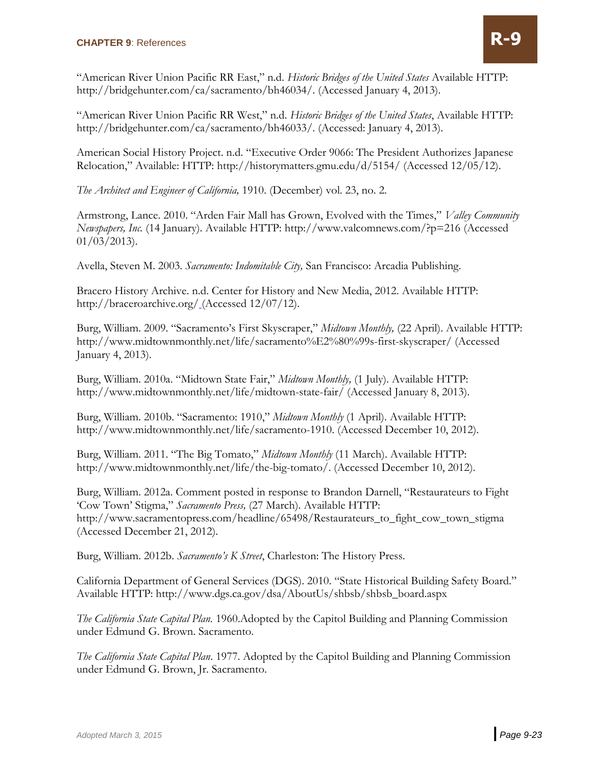"American River Union Pacific RR East," n.d. *Historic Bridges of the United States* Available HTTP: http://bridgehunter.com/ca/sacramento/bh46034/. (Accessed January 4, 2013).

"American River Union Pacific RR West," n.d. *Historic Bridges of the United States*, Available HTTP: http://bridgehunter.com/ca/sacramento/bh46033/. (Accessed: January 4, 2013).

American Social History Project. n.d. "Executive Order 9066: The President Authorizes Japanese Relocation," Available: HTTP: http://historymatters.gmu.edu/d/5154/ (Accessed 12/05/12).

*The Architect and Engineer of California,* 1910. (December) vol. 23, no. 2.

Armstrong, Lance. 2010. "Arden Fair Mall has Grown, Evolved with the Times," *Valley Community Newspapers, Inc.* (14 January). Available HTTP: http://www.valcomnews.com/?p=216 (Accessed  $01/03/2013$ .

Avella, Steven M. 2003. *Sacramento: Indomitable City,* San Francisco: Arcadia Publishing.

Bracero History Archive. n.d. Center for History and New Media, 2012. Available HTTP: http://braceroarchive.org/ (Accessed 12/07/12).

Burg, William. 2009. "Sacramento's First Skyscraper," *Midtown Monthly,* (22 April). Available HTTP: http://www.midtownmonthly.net/life/sacramento%E2%80%99s-first-skyscraper/ (Accessed January 4, 2013).

Burg, William. 2010a. "Midtown State Fair," *Midtown Monthly,* (1 July). Available HTTP: http://www.midtownmonthly.net/life/midtown-state-fair/ (Accessed January 8, 2013).

Burg, William. 2010b. "Sacramento: 1910," *Midtown Monthly* (1 April). Available HTTP: http://www.midtownmonthly.net/life/sacramento-1910. (Accessed December 10, 2012).

Burg, William. 2011. "The Big Tomato," *Midtown Monthly* (11 March). Available HTTP: http://www.midtownmonthly.net/life/the-big-tomato/. (Accessed December 10, 2012).

Burg, William. 2012a. Comment posted in response to Brandon Darnell, "Restaurateurs to Fight 'Cow Town' Stigma," *Sacramento Press,* (27 March). Available HTTP: http://www.sacramentopress.com/headline/65498/Restaurateurs\_to\_fight\_cow\_town\_stigma (Accessed December 21, 2012).

Burg, William. 2012b. *Sacramento's K Street*, Charleston: The History Press.

California Department of General Services (DGS). 2010. "State Historical Building Safety Board." Available HTTP: http://www.dgs.ca.gov/dsa/AboutUs/shbsb/shbsb\_board.aspx

*The California State Capital Plan.* 1960.Adopted by the Capitol Building and Planning Commission under Edmund G. Brown. Sacramento.

*The California State Capital Plan*. 1977. Adopted by the Capitol Building and Planning Commission under Edmund G. Brown, Jr. Sacramento.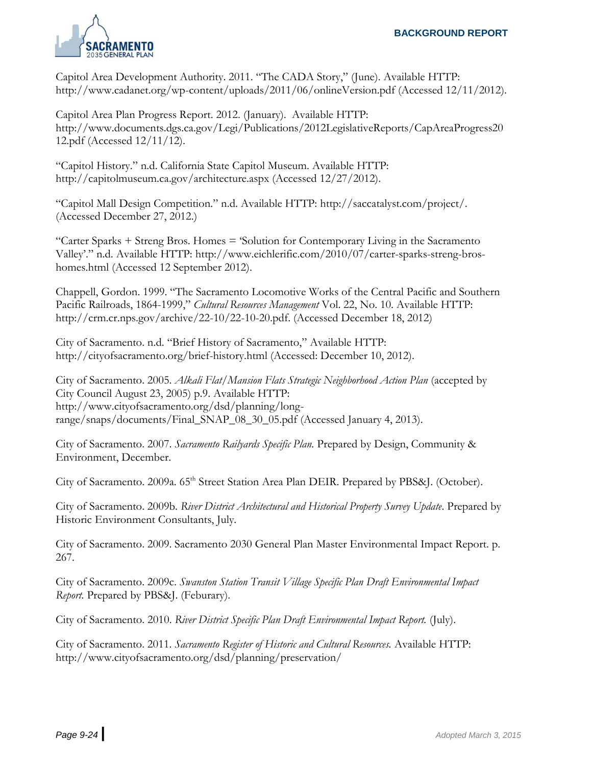

Capitol Area Development Authority. 2011. "The CADA Story," (June). Available HTTP: http://www.cadanet.org/wp-content/uploads/2011/06/onlineVersion.pdf (Accessed 12/11/2012).

Capitol Area Plan Progress Report. 2012. (January). Available HTTP: http://www.documents.dgs.ca.gov/Legi/Publications/2012LegislativeReports/CapAreaProgress20 12.pdf (Accessed 12/11/12).

"Capitol History." n.d. California State Capitol Museum. Available HTTP: http://capitolmuseum.ca.gov/architecture.aspx (Accessed 12/27/2012).

"Capitol Mall Design Competition." n.d. Available HTTP: http://saccatalyst.com/project/. (Accessed December 27, 2012.)

"Carter Sparks + Streng Bros. Homes = 'Solution for Contemporary Living in the Sacramento Valley'." n.d. Available HTTP: http://www.eichlerific.com/2010/07/carter-sparks-streng-broshomes.html (Accessed 12 September 2012).

Chappell, Gordon. 1999. "The Sacramento Locomotive Works of the Central Pacific and Southern Pacific Railroads, 1864-1999," *Cultural Resources Management* Vol. 22, No. 10. Available HTTP: http://crm.cr.nps.gov/archive/22-10/22-10-20.pdf. (Accessed December 18, 2012)

City of Sacramento. n.d. "Brief History of Sacramento," Available HTTP: http://cityofsacramento.org/brief-history.html (Accessed: December 10, 2012).

City of Sacramento. 2005. *Alkali Flat/Mansion Flats Strategic Neighborhood Action Plan* (accepted by City Council August 23, 2005) p.9. Available HTTP: http://www.cityofsacramento.org/dsd/planning/longrange/snaps/documents/Final\_SNAP\_08\_30\_05.pdf (Accessed January 4, 2013).

City of Sacramento. 2007. *Sacramento Railyards Specific Plan.* Prepared by Design, Community & Environment, December.

City of Sacramento. 2009a. 65<sup>th</sup> Street Station Area Plan DEIR. Prepared by PBS&J. (October).

City of Sacramento. 2009b. *River District Architectural and Historical Property Survey Update*. Prepared by Historic Environment Consultants, July.

City of Sacramento. 2009. Sacramento 2030 General Plan Master Environmental Impact Report. p. 267.

City of Sacramento. 2009c. *Swanston Station Transit Village Specific Plan Draft Environmental Impact Report.* Prepared by PBS&J. (Feburary).

City of Sacramento. 2010. *River District Specific Plan Draft Environmental Impact Report.* (July).

City of Sacramento. 2011. *Sacramento Register of Historic and Cultural Resources.* Available HTTP: http://www.cityofsacramento.org/dsd/planning/preservation/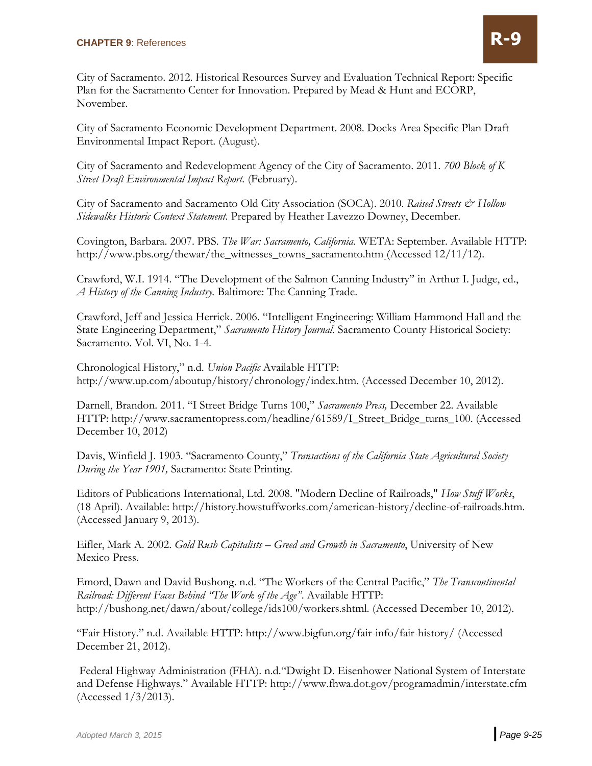City of Sacramento. 2012. Historical Resources Survey and Evaluation Technical Report: Specific Plan for the Sacramento Center for Innovation. Prepared by Mead & Hunt and ECORP, November.

City of Sacramento Economic Development Department. 2008. Docks Area Specific Plan Draft Environmental Impact Report. (August).

City of Sacramento and Redevelopment Agency of the City of Sacramento. 2011. *700 Block of K Street Draft Environmental Impact Report.* (February).

City of Sacramento and Sacramento Old City Association (SOCA). 2010. *Raised Streets & Hollow Sidewalks Historic Context Statement.* Prepared by Heather Lavezzo Downey, December.

Covington, Barbara. 2007. PBS. *The War: Sacramento, California.* WETA: September. Available HTTP: http://www.pbs.org/thewar/the\_witnesses\_towns\_sacramento.htm (Accessed 12/11/12).

Crawford, W.I. 1914. "The Development of the Salmon Canning Industry" in Arthur I. Judge, ed., *A History of the Canning Industry.* Baltimore: The Canning Trade.

Crawford, Jeff and Jessica Herrick. 2006. "Intelligent Engineering: William Hammond Hall and the State Engineering Department," *Sacramento History Journal.* Sacramento County Historical Society: Sacramento. Vol. VI, No. 1-4.

Chronological History," n.d. *Union Pacific* Available HTTP: http://www.up.com/aboutup/history/chronology/index.htm. (Accessed December 10, 2012).

Darnell, [Brandon](file://TServer/projects/120xx/12144_Sacramento%20General%20Plan%20Update/Docs/D%20Reports/HCS/Working%20Files/Old%20drafts/Brandon). 2011. "I Street Bridge Turns 100," *Sacramento Press,* December 22. Available HTTP: http://www.sacramentopress.com/headline/61589/I\_Street\_Bridge\_turns\_100. (Accessed December 10, 2012)

Davis, Winfield J. 1903. "Sacramento County," *Transactions of the California State Agricultural Society During the Year 1901,* Sacramento: State Printing.

Editors of Publications International, Ltd. 2008. "Modern Decline of Railroads," *How Stuff Works*, (18 April). Available: http://history.howstuffworks.com/american-history/decline-of-railroads.htm. (Accessed January 9, 2013).

Eifler, Mark A. 2002. *Gold Rush Capitalists – Greed and Growth in Sacramento*, University of New Mexico Press.

Emord, Dawn and David Bushong. n.d. "The Workers of the Central Pacific," *The Transcontinental Railroad: Different Faces Behind "The Work of the Age"*. Available HTTP: http://bushong.net/dawn/about/college/ids100/workers.shtml. (Accessed December 10, 2012).

"Fair History." n.d. Available HTTP: http://www.bigfun.org/fair-info/fair-history/ (Accessed December 21, 2012).

Federal Highway Administration (FHA). n.d."Dwight D. Eisenhower National System of Interstate and Defense Highways." Available HTTP: http://www.fhwa.dot.gov/programadmin/interstate.cfm (Accessed 1/3/2013).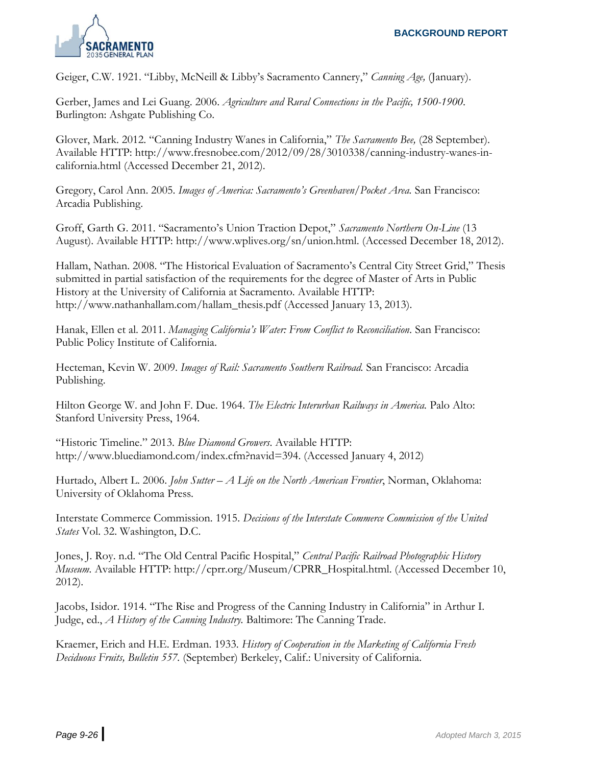

Geiger, C.W. 1921. "Libby, McNeill & Libby's Sacramento Cannery," *Canning Age,* (January).

Gerber, James and Lei Guang. 2006. *Agriculture and Rural Connections in the Pacific, 1500-1900*. Burlington: Ashgate Publishing Co.

Glover, Mark. 2012. "Canning Industry Wanes in California," *The Sacramento Bee,* (28 September). Available HTTP: http://www.fresnobee.com/2012/09/28/3010338/canning-industry-wanes-incalifornia.html (Accessed December 21, 2012).

Gregory, Carol Ann. 2005. *Images of America: Sacramento's Greenhaven/Pocket Area.* San Francisco: Arcadia Publishing.

Groff, Garth G. 2011. "Sacramento's Union Traction Depot," *Sacramento Northern On-Line* (13 August). Available HTTP: http://www.wplives.org/sn/union.html. (Accessed December 18, 2012).

Hallam, Nathan. 2008. "The Historical Evaluation of Sacramento's Central City Street Grid," Thesis submitted in partial satisfaction of the requirements for the degree of Master of Arts in Public History at the University of California at Sacramento. Available HTTP: http://www.nathanhallam.com/hallam\_thesis.pdf (Accessed January 13, 2013).

Hanak, Ellen et al. 2011. *Managing California's Water: From Conflict to Reconciliation.* San Francisco: Public Policy Institute of California.

Hecteman, Kevin W. 2009. *Images of Rail: Sacramento Southern Railroad.* San Francisco: Arcadia Publishing.

Hilton George W. and John F. Due. 1964. *The Electric Interurban Railways in America.* Palo Alto: Stanford University Press, 1964.

"Historic Timeline." 2013. *Blue Diamond Growers*. Available HTTP: http://www.bluediamond.com/index.cfm?navid=394. (Accessed January 4, 2012)

Hurtado, Albert L. 2006. *John Sutter – A Life on the North American Frontier*, Norman, Oklahoma: University of Oklahoma Press.

Interstate Commerce Commission. 1915. *Decisions of the Interstate Commerce Commission of the United States* Vol. 32. Washington, D.C.

Jones, J. Roy. n.d. "The Old Central Pacific Hospital," *Central Pacific Railroad Photographic History Museum.* Available HTTP: http://cprr.org/Museum/CPRR\_Hospital.html. (Accessed December 10, 2012).

Jacobs, Isidor. 1914. "The Rise and Progress of the Canning Industry in California" in Arthur I. Judge, ed., *A History of the Canning Industry.* Baltimore: The Canning Trade.

Kraemer, Erich and H.E. Erdman. 1933. *History of Cooperation in the Marketing of California Fresh Deciduous Fruits, Bulletin 557.* (September) Berkeley, Calif.: University of California.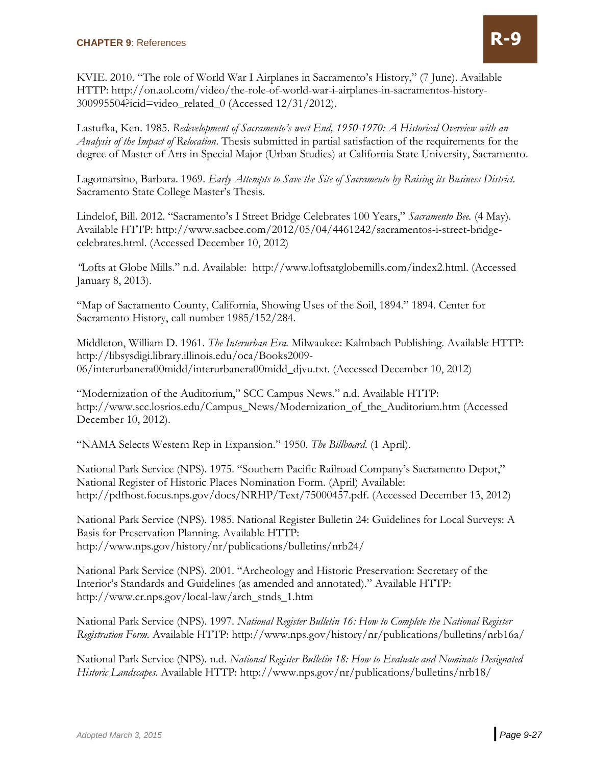KVIE. 2010. "The role of World War I Airplanes in Sacramento's History," (7 June). Available HTTP: http://on.aol.com/video/the-role-of-world-war-i-airplanes-in-sacramentos-history-300995504?icid=video\_related\_0 (Accessed 12/31/2012).

Lastufka, Ken. 1985. *Redevelopment of Sacramento's west End, 1950-1970: A Historical Overview with an Analysis of the Impact of Relocation*. Thesis submitted in partial satisfaction of the requirements for the degree of Master of Arts in Special Major (Urban Studies) at California State University, Sacramento.

Lagomarsino, Barbara. 1969. *Early Attempts to Save the Site of Sacramento by Raising its Business District.* Sacramento State College Master's Thesis.

Lindelof, Bill. 2012. "Sacramento's I Street Bridge Celebrates 100 Years," *Sacramento Bee.* (4 May). Available HTTP: http://www.sacbee.com/2012/05/04/4461242/sacramentos-i-street-bridgecelebrates.html. (Accessed December 10, 2012)

*"*Lofts at Globe Mills." n.d. Available: http://www.loftsatglobemills.com/index2.html. (Accessed January 8, 2013).

"Map of Sacramento County, California, Showing Uses of the Soil, 1894." 1894. Center for Sacramento History, call number 1985/152/284.

Middleton, William D. 1961. *The Interurban Era.* Milwaukee: Kalmbach Publishing. Available HTTP: http://libsysdigi.library.illinois.edu/oca/Books2009- 06/interurbanera00midd/interurbanera00midd\_djvu.txt. (Accessed December 10, 2012)

"Modernization of the Auditorium," SCC Campus News." n.d. Available HTTP: http://www.scc.losrios.edu/Campus\_News/Modernization\_of\_the\_Auditorium.htm (Accessed December 10, 2012).

"NAMA Selects Western Rep in Expansion." 1950. *The Billboard*. (1 April).

National Park Service (NPS). 1975. "Southern Pacific Railroad Company's Sacramento Depot," National Register of Historic Places Nomination Form. (April) Available: http://pdfhost.focus.nps.gov/docs/NRHP/Text/75000457.pdf. (Accessed December 13, 2012)

National Park Service (NPS). 1985. National Register Bulletin 24: Guidelines for Local Surveys: A Basis for Preservation Planning. Available HTTP: http://www.nps.gov/history/nr/publications/bulletins/nrb24/

National Park Service (NPS). 2001. "Archeology and Historic Preservation: Secretary of the Interior's Standards and Guidelines (as amended and annotated)." Available HTTP: http://www.cr.nps.gov/local-law/arch\_stnds\_1.htm

National Park Service (NPS). 1997. *National Register Bulletin 16: How to Complete the National Register Registration Form.* Available HTTP: http://www.nps.gov/history/nr/publications/bulletins/nrb16a/

National Park Service (NPS). n.d. *National Register Bulletin 18: How to Evaluate and Nominate Designated Historic Landscapes.* Available HTTP: http://www.nps.gov/nr/publications/bulletins/nrb18/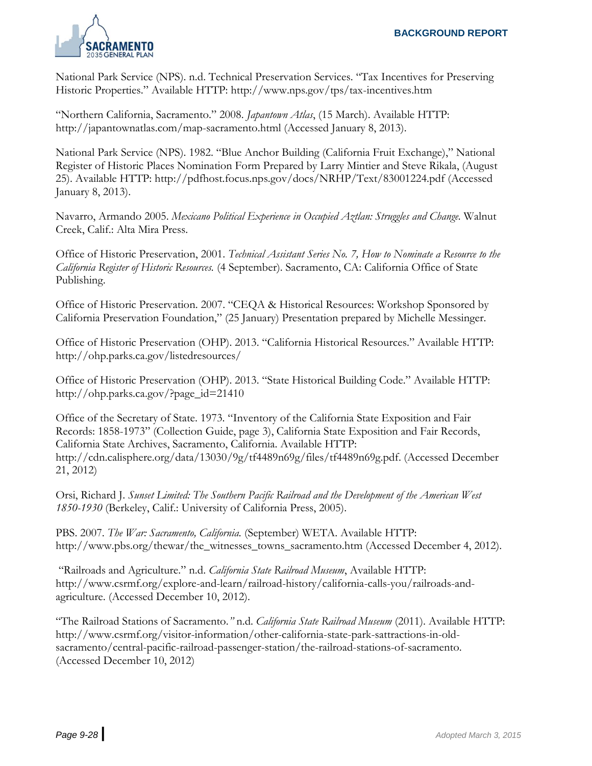

National Park Service (NPS). n.d. Technical Preservation Services. "Tax Incentives for Preserving Historic Properties." Available HTTP: http://www.nps.gov/tps/tax-incentives.htm

"Northern California, Sacramento." 2008. *Japantown Atlas*, (15 March). Available HTTP: http://japantownatlas.com/map-sacramento.html (Accessed January 8, 2013).

National Park Service (NPS). 1982. "Blue Anchor Building (California Fruit Exchange)," National Register of Historic Places Nomination Form Prepared by Larry Mintier and Steve Rikala, (August 25). Available HTTP: http://pdfhost.focus.nps.gov/docs/NRHP/Text/83001224.pdf (Accessed January 8, 2013).

Navarro, Armando 2005. *Mexicano Political Experience in Occupied Aztlan: Struggles and Change.* Walnut Creek, Calif.: Alta Mira Press.

Office of Historic Preservation, 2001. *Technical Assistant Series No. 7, How to Nominate a Resource to the California Register of Historic Resources.* (4 September). Sacramento, CA: California Office of State Publishing.

Office of Historic Preservation. 2007. "CEQA & Historical Resources: Workshop Sponsored by California Preservation Foundation," (25 January) Presentation prepared by Michelle Messinger.

Office of Historic Preservation (OHP). 2013. "California Historical Resources." Available HTTP: http://ohp.parks.ca.gov/listedresources/

Office of Historic Preservation (OHP). 2013. "State Historical Building Code." Available HTTP: http://ohp.parks.ca.gov/?page\_id=21410

Office of the Secretary of State. 1973. "Inventory of the California State Exposition and Fair Records: 1858-1973" (Collection Guide, page 3), California State Exposition and Fair Records, California State Archives, Sacramento, California. Available HTTP: http://cdn.calisphere.org/data/13030/9g/tf4489n69g/files/tf4489n69g.pdf. (Accessed December 21, 2012)

Orsi, Richard J. *Sunset Limited: The Southern Pacific Railroad and the Development of the American West 1850-1930* (Berkeley, Calif.: University of California Press, 2005).

PBS. 2007. *The War: Sacramento, California.* (September) WETA. Available HTTP: http://www.pbs.org/thewar/the\_witnesses\_towns\_sacramento.htm (Accessed December 4, 2012).

"Railroads and Agriculture." n.d. *California State Railroad Museum*, Available HTTP: http://www.csrmf.org/explore-and-learn/railroad-history/california-calls-you/railroads-andagriculture. (Accessed December 10, 2012).

"The Railroad Stations of Sacramento.*"* n.d. *California State Railroad Museum* (2011). Available HTTP: http://www.csrmf.org/visitor-information/other-california-state-park-sattractions-in-oldsacramento/central-pacific-railroad-passenger-station/the-railroad-stations-of-sacramento. (Accessed December 10, 2012)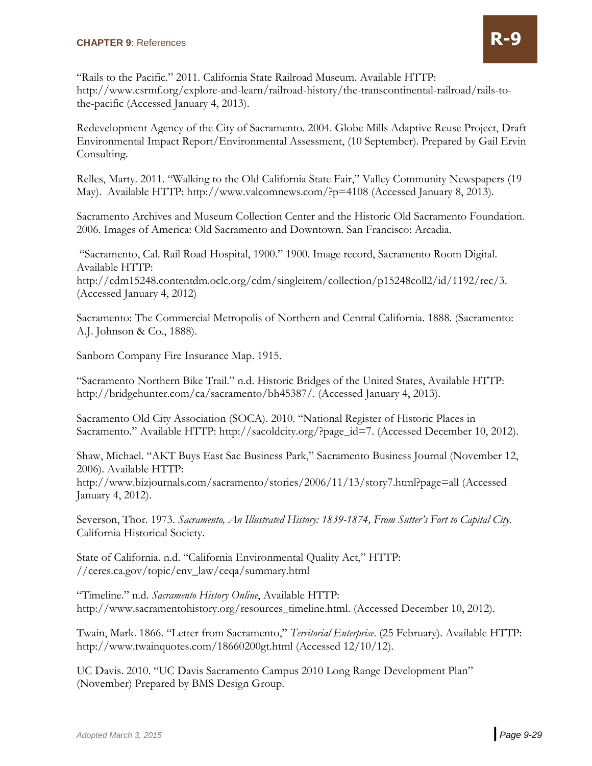"Rails to the Pacific." 2011. California State Railroad Museum. Available HTTP: [http://www.csrmf.org/explore-and-learn/railroad-history/the-transcontinental-railroad/rails-to](http://www.csrmf.org/explore-and-learn/railroad-history/the-transcontinental-railroad/rails-to-the-pacific)[the-pacific](http://www.csrmf.org/explore-and-learn/railroad-history/the-transcontinental-railroad/rails-to-the-pacific) (Accessed January 4, 2013).

Redevelopment Agency of the City of Sacramento. 2004. Globe Mills Adaptive Reuse Project, Draft Environmental Impact Report/Environmental Assessment, (10 September). Prepared by Gail Ervin Consulting.

Relles, Marty. 2011. "Walking to the Old California State Fair," Valley Community Newspapers (19 May). Available HTTP:<http://www.valcomnews.com/?p=4108> (Accessed January 8, 2013).

Sacramento Archives and Museum Collection Center and the Historic Old Sacramento Foundation. 2006. Images of America: Old Sacramento and Downtown. San Francisco: Arcadia.

"Sacramento, Cal. Rail Road Hospital, 1900." 1900. Image record, Sacramento Room Digital. Available HTTP: http://cdm15248.contentdm.oclc.org/cdm/singleitem/collection/p15248coll2/id/1192/rec/3. (Accessed January 4, 2012)

Sacramento: The Commercial Metropolis of Northern and Central California. 1888. (Sacramento: A.J. Johnson & Co., 1888).

Sanborn Company Fire Insurance Map. 1915.

"Sacramento Northern Bike Trail." n.d. Historic Bridges of the United States, Available HTTP: [http://bridgehunter.com/ca/sacramento/bh45387/.](http://bridgehunter.com/ca/sacramento/bh45387/) (Accessed January 4, 2013).

Sacramento Old City Association (SOCA). 2010. "National Register of Historic Places in Sacramento." Available HTTP: [http://sacoldcity.org/?page\\_id=7.](http://sacoldcity.org/?page_id=7) (Accessed December 10, 2012).

Shaw, Michael. "AKT Buys East Sac Business Park," Sacramento Business Journal (November 12, 2006). Available HTTP:

<http://www.bizjournals.com/sacramento/stories/2006/11/13/story7.html?page=all> (Accessed January 4, 2012).

Severson, Thor. 1973. *Sacramento, An Illustrated History: 1839-1874, From Sutter's Fort to Capital City.*  California Historical Society.

State of California. n.d. "California Environmental Quality Act," HTTP: //ceres.ca.gov/topic/env\_law/ceqa/summary.html

"Timeline." n.d. *Sacramento History Online*, Available HTTP: http://www.sacramentohistory.org/resources\_timeline.html. (Accessed December 10, 2012).

Twain, Mark. 1866. "Letter from Sacramento," *Territorial Enterprise*. (25 February). Available HTTP: http://www.twainquotes.com/18660200gt.html (Accessed 12/10/12).

UC Davis. 2010. "UC Davis Sacramento Campus 2010 Long Range Development Plan" (November) Prepared by BMS Design Group.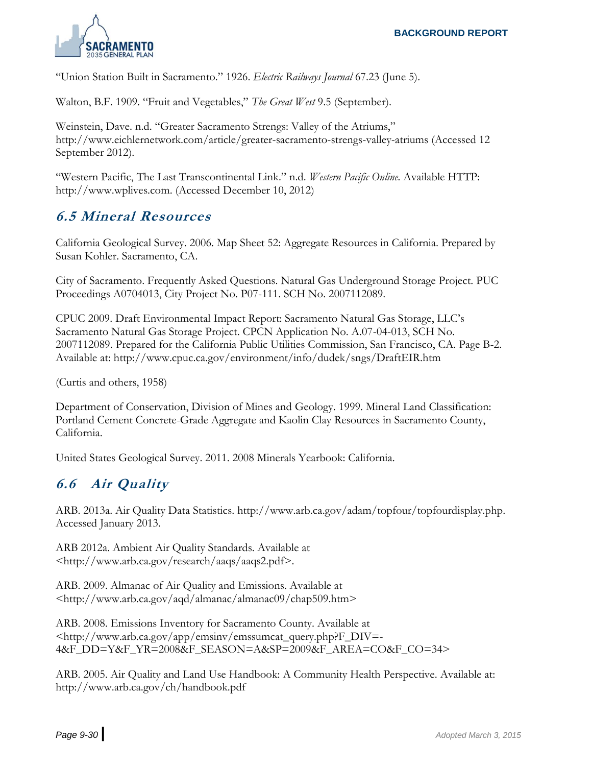

"Union Station Built in Sacramento." 1926. *Electric Railways Journal* 67.23 (June 5).

Walton, B.F. 1909. "Fruit and Vegetables," *The Great West* 9.5 (September).

Weinstein, Dave. n.d. "Greater Sacramento Strengs: Valley of the Atriums," http://www.eichlernetwork.com/article/greater-sacramento-strengs-valley-atriums (Accessed 12 September 2012).

"Western Pacific, The Last Transcontinental Link." n.d. *Western Pacific Online.* Available HTTP: http://www.wplives.com. (Accessed December 10, 2012)

## **6.5 Mineral Resources**

California Geological Survey. 2006. Map Sheet 52: Aggregate Resources in California. Prepared by Susan Kohler. Sacramento, CA.

City of Sacramento. Frequently Asked Questions. Natural Gas Underground Storage Project. PUC Proceedings A0704013, City Project No. P07-111. SCH No. 2007112089.

CPUC 2009. Draft Environmental Impact Report: Sacramento Natural Gas Storage, LLC's Sacramento Natural Gas Storage Project. CPCN Application No. A.07-04-013, SCH No. 2007112089. Prepared for the California Public Utilities Commission, San Francisco, CA. Page B-2. Available at: http://www.cpuc.ca.gov/environment/info/dudek/sngs/DraftEIR.htm

(Curtis and others, 1958)

Department of Conservation, Division of Mines and Geology. 1999. Mineral Land Classification: Portland Cement Concrete-Grade Aggregate and Kaolin Clay Resources in Sacramento County, California.

United States Geological Survey. 2011. 2008 Minerals Yearbook: California.

#### **6.6 Air Quality**

ARB. 2013a. Air Quality Data Statistics. http://www.arb.ca.gov/adam/topfour/topfourdisplay.php. Accessed January 2013.

ARB 2012a. Ambient Air Quality Standards. Available at <http://www.arb.ca.gov/research/aaqs/aaqs2.pdf>.

ARB. 2009. Almanac of Air Quality and Emissions. Available at <http://www.arb.ca.gov/aqd/almanac/almanac09/chap509.htm>

ARB. 2008. Emissions Inventory for Sacramento County. Available at <http://www.arb.ca.gov/app/emsinv/emssumcat\_query.php?F\_DIV=- 4&F\_DD=Y&F\_YR=2008&F\_SEASON=A&SP=2009&F\_AREA=CO&F\_CO=34>

ARB. 2005. Air Quality and Land Use Handbook: A Community Health Perspective. Available at: http://www.arb.ca.gov/ch/handbook.pdf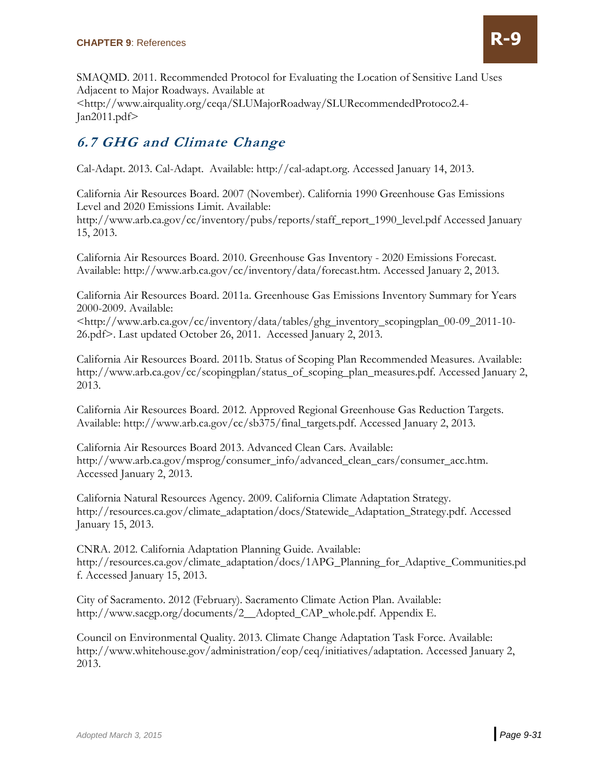

SMAQMD. 2011. Recommended Protocol for Evaluating the Location of Sensitive Land Uses Adjacent to Major Roadways. Available at <http://www.airquality.org/ceqa/SLUMajorRoadway/SLURecommendedProtoco2.4- Jan2011.pdf>

# **6.7 GHG and Climate Change**

Cal-Adapt. 2013. Cal-Adapt. Available: http://cal-adapt.org. Accessed January 14, 2013.

California Air Resources Board. 2007 (November). California 1990 Greenhouse Gas Emissions Level and 2020 Emissions Limit. Available:

http://www.arb.ca.gov/cc/inventory/pubs/reports/staff\_report\_1990\_level.pdf Accessed January 15, 2013.

California Air Resources Board. 2010. Greenhouse Gas Inventory - 2020 Emissions Forecast. Available: http://www.arb.ca.gov/cc/inventory/data/forecast.htm. Accessed January 2, 2013.

California Air Resources Board. 2011a. Greenhouse Gas Emissions Inventory Summary for Years 2000-2009. Available:

<http://www.arb.ca.gov/cc/inventory/data/tables/ghg\_inventory\_scopingplan\_00-09\_2011-10- 26.pdf>. Last updated October 26, 2011. Accessed January 2, 2013.

California Air Resources Board. 2011b. Status of Scoping Plan Recommended Measures. Available: http://www.arb.ca.gov/cc/scopingplan/status\_of\_scoping\_plan\_measures.pdf. Accessed January 2, 2013.

California Air Resources Board. 2012. Approved Regional Greenhouse Gas Reduction Targets. Available: http://www.arb.ca.gov/cc/sb375/final\_targets.pdf. Accessed January 2, 2013.

California Air Resources Board 2013. Advanced Clean Cars. Available: http://www.arb.ca.gov/msprog/consumer\_info/advanced\_clean\_cars/consumer\_acc.htm. Accessed January 2, 2013.

California Natural Resources Agency. 2009. California Climate Adaptation Strategy. http://resources.ca.gov/climate\_adaptation/docs/Statewide\_Adaptation\_Strategy.pdf. Accessed January 15, 2013.

CNRA. 2012. California Adaptation Planning Guide. Available: http://resources.ca.gov/climate\_adaptation/docs/1APG\_Planning\_for\_Adaptive\_Communities.pd f. Accessed January 15, 2013.

City of Sacramento. 2012 (February). Sacramento Climate Action Plan. Available: http://www.sacgp.org/documents/2\_\_Adopted\_CAP\_whole.pdf. Appendix E.

Council on Environmental Quality. 2013. Climate Change Adaptation Task Force. Available: http://www.whitehouse.gov/administration/eop/ceq/initiatives/adaptation. Accessed January 2, 2013.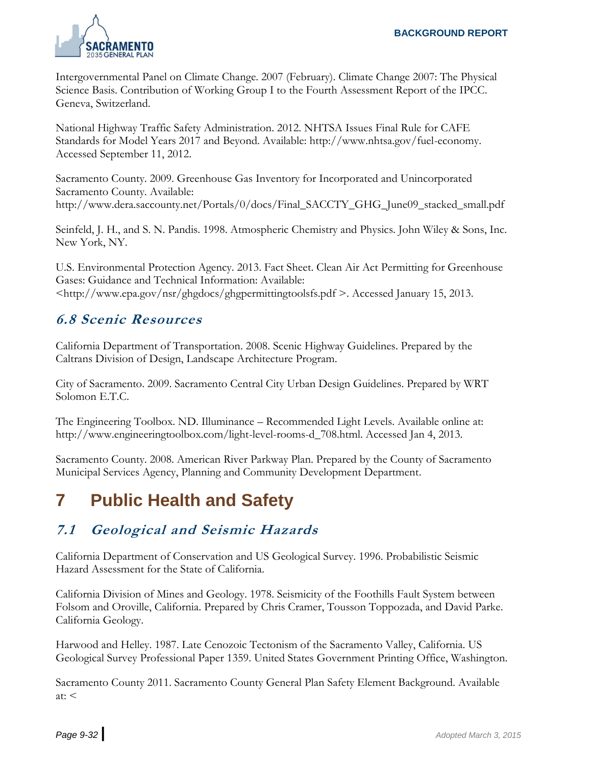

Intergovernmental Panel on Climate Change. 2007 (February). Climate Change 2007: The Physical Science Basis. Contribution of Working Group I to the Fourth Assessment Report of the IPCC. Geneva, Switzerland.

National Highway Traffic Safety Administration. 2012. NHTSA Issues Final Rule for CAFE Standards for Model Years 2017 and Beyond. Available: http://www.nhtsa.gov/fuel-economy. Accessed September 11, 2012.

Sacramento County. 2009. Greenhouse Gas Inventory for Incorporated and Unincorporated Sacramento County. Available: http://www.dera.saccounty.net/Portals/0/docs/Final\_SACCTY\_GHG\_June09\_stacked\_small.pdf

Seinfeld, J. H., and S. N. Pandis. 1998. Atmospheric Chemistry and Physics. John Wiley & Sons, Inc. New York, NY.

U.S. Environmental Protection Agency. 2013. Fact Sheet. Clean Air Act Permitting for Greenhouse Gases: Guidance and Technical Information: Available: <http://www.epa.gov/nsr/ghgdocs/ghgpermittingtoolsfs.pdf >. Accessed January 15, 2013.

#### **6.8 Scenic Resources**

California Department of Transportation. 2008. Scenic Highway Guidelines. Prepared by the Caltrans Division of Design, Landscape Architecture Program.

City of Sacramento. 2009. Sacramento Central City Urban Design Guidelines. Prepared by WRT Solomon E.T.C.

The Engineering Toolbox. ND. Illuminance – Recommended Light Levels. Available online at: http://www.engineeringtoolbox.com/light-level-rooms-d\_708.html. Accessed Jan 4, 2013.

Sacramento County. 2008. American River Parkway Plan. Prepared by the County of Sacramento Municipal Services Agency, Planning and Community Development Department.

# **7 Public Health and Safety**

# **7.1 Geological and Seismic Hazards**

California Department of Conservation and US Geological Survey. 1996. Probabilistic Seismic Hazard Assessment for the State of California.

California Division of Mines and Geology. 1978. Seismicity of the Foothills Fault System between Folsom and Oroville, California. Prepared by Chris Cramer, Tousson Toppozada, and David Parke. California Geology.

Harwood and Helley. 1987. Late Cenozoic Tectonism of the Sacramento Valley, California. US Geological Survey Professional Paper 1359. United States Government Printing Office, Washington.

Sacramento County 2011. Sacramento County General Plan Safety Element Background. Available  $at: <$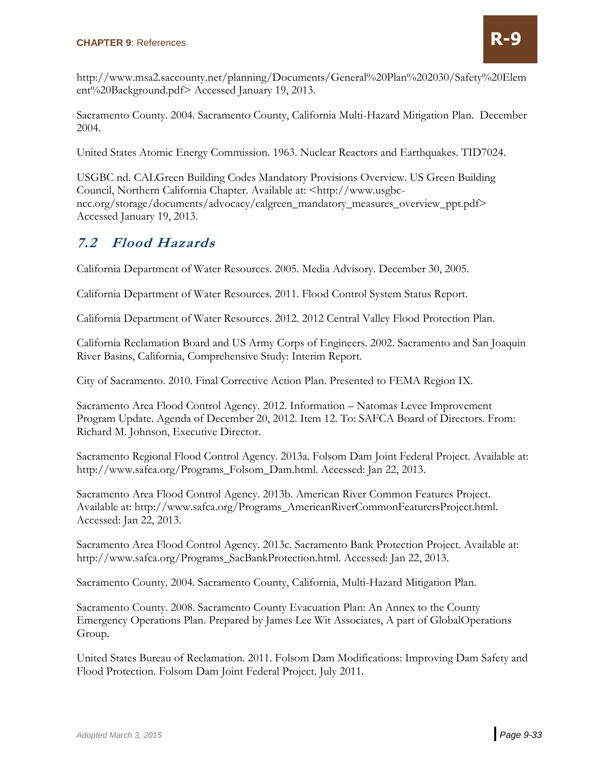

http://www.msa2.saccounty.net/planning/Documents/General%20Plan%202030/Safety%20Elem ent%20Background.pdf> Accessed January 19, 2013.

Sacramento County. 2004. Sacramento County, California Multi-Hazard Mitigation Plan. December 2004.

United States Atomic Energy Commission. 1963. Nuclear Reactors and Earthquakes. TID7024.

USGBC nd. CALGreen Building Codes Mandatory Provisions Overview. US Green Building Council, Northern California Chapter. Available at: <http://www.usgbcncc.org/storage/documents/advocacy/calgreen\_mandatory\_measures\_overview\_ppt.pdf> Accessed January 19, 2013.

#### **7.2 Flood Hazards**

California Department of Water Resources. 2005. Media Advisory. December 30, 2005.

California Department of Water Resources. 2011. Flood Control System Status Report.

California Department of Water Resources. 2012. 2012 Central Valley Flood Protection Plan.

California Reclamation Board and US Army Corps of Engineers. 2002. Sacramento and San Joaquin River Basins, California, Comprehensive Study: Interim Report.

City of Sacramento. 2010. Final Corrective Action Plan. Presented to FEMA Region IX.

Sacramento Area Flood Control Agency. 2012. Information – Natomas Levee Improvement Program Update. Agenda of December 20, 2012. Item 12. To: SAFCA Board of Directors. From: Richard M. Johnson, Executive Director.

Sacramento Regional Flood Control Agency. 2013a. Folsom Dam Joint Federal Project. Available at: http://www.safca.org/Programs\_Folsom\_Dam.html. Accessed: Jan 22, 2013.

Sacramento Area Flood Control Agency. 2013b. American River Common Features Project. Available at: http://www.safca.org/Programs\_AmericanRiverCommonFeaturersProject.html. Accessed: Jan 22, 2013.

Sacramento Area Flood Control Agency. 2013c. Sacramento Bank Protection Project. Available at: http://www.safca.org/Programs\_SacBankProtection.html. Accessed: Jan 22, 2013.

Sacramento County. 2004. Sacramento County, California, Multi-Hazard Mitigation Plan.

Sacramento County. 2008. Sacramento County Evacuation Plan: An Annex to the County Emergency Operations Plan. Prepared by James Lee Wit Associates, A part of GlobalOperations Group.

United States Bureau of Reclamation. 2011. Folsom Dam Modifications: Improving Dam Safety and Flood Protection. Folsom Dam Joint Federal Project. July 2011.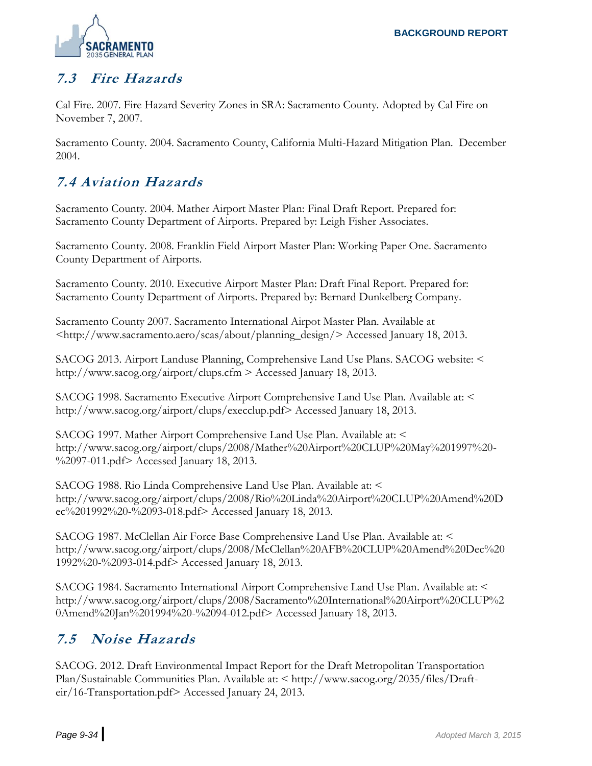

# **7.3 Fire Hazards**

Cal Fire. 2007. Fire Hazard Severity Zones in SRA: Sacramento County. Adopted by Cal Fire on November 7, 2007.

Sacramento County. 2004. Sacramento County, California Multi-Hazard Mitigation Plan. December 2004.

# **7.4 Aviation Hazards**

Sacramento County. 2004. Mather Airport Master Plan: Final Draft Report. Prepared for: Sacramento County Department of Airports. Prepared by: Leigh Fisher Associates.

Sacramento County. 2008. Franklin Field Airport Master Plan: Working Paper One. Sacramento County Department of Airports.

Sacramento County. 2010. Executive Airport Master Plan: Draft Final Report. Prepared for: Sacramento County Department of Airports. Prepared by: Bernard Dunkelberg Company.

Sacramento County 2007. Sacramento International Airpot Master Plan. Available at <http://www.sacramento.aero/scas/about/planning\_design/> Accessed January 18, 2013.

SACOG 2013. Airport Landuse Planning, Comprehensive Land Use Plans. SACOG website: < http://www.sacog.org/airport/clups.cfm > Accessed January 18, 2013.

SACOG 1998. Sacramento Executive Airport Comprehensive Land Use Plan. Available at: < http://www.sacog.org/airport/clups/execclup.pdf> Accessed January 18, 2013.

SACOG 1997. Mather Airport Comprehensive Land Use Plan. Available at: < http://www.sacog.org/airport/clups/2008/Mather%20Airport%20CLUP%20May%201997%20- %2097-011.pdf> Accessed January 18, 2013.

SACOG 1988. Rio Linda Comprehensive Land Use Plan. Available at: < http://www.sacog.org/airport/clups/2008/Rio%20Linda%20Airport%20CLUP%20Amend%20D ec%201992%20-%2093-018.pdf> Accessed January 18, 2013.

SACOG 1987. McClellan Air Force Base Comprehensive Land Use Plan. Available at: < http://www.sacog.org/airport/clups/2008/McClellan%20AFB%20CLUP%20Amend%20Dec%20 1992%20-%2093-014.pdf> Accessed January 18, 2013.

SACOG 1984. Sacramento International Airport Comprehensive Land Use Plan. Available at: < http://www.sacog.org/airport/clups/2008/Sacramento%20International%20Airport%20CLUP%2 0Amend%20Jan%201994%20-%2094-012.pdf> Accessed January 18, 2013.

# **7.5 Noise Hazards**

SACOG. 2012. Draft Environmental Impact Report for the Draft Metropolitan Transportation Plan/Sustainable Communities Plan. Available at: < http://www.sacog.org/2035/files/Drafteir/16-Transportation.pdf> Accessed January 24, 2013.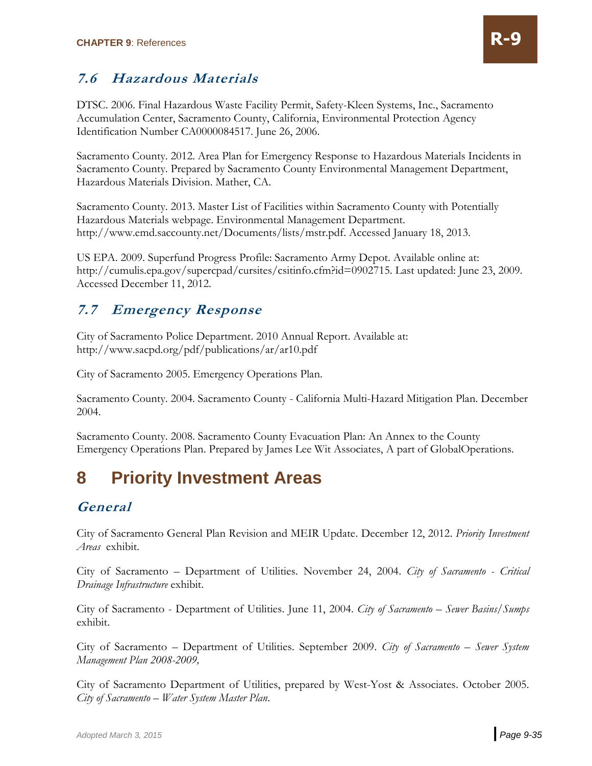# **7.6 Hazardous Materials**

DTSC. 2006. Final Hazardous Waste Facility Permit, Safety-Kleen Systems, Inc., Sacramento Accumulation Center, Sacramento County, California, Environmental Protection Agency Identification Number CA0000084517. June 26, 2006.

Sacramento County. 2012. Area Plan for Emergency Response to Hazardous Materials Incidents in Sacramento County. Prepared by Sacramento County Environmental Management Department, Hazardous Materials Division. Mather, CA.

Sacramento County. 2013. Master List of Facilities within Sacramento County with Potentially Hazardous Materials webpage. Environmental Management Department. http://www.emd.saccounty.net/Documents/lists/mstr.pdf. Accessed January 18, 2013.

US EPA. 2009. Superfund Progress Profile: Sacramento Army Depot. Available online at: http://cumulis.epa.gov/supercpad/cursites/csitinfo.cfm?id=0902715. Last updated: June 23, 2009. Accessed December 11, 2012.

#### **7.7 Emergency Response**

City of Sacramento Police Department. 2010 Annual Report. Available at: http://www.sacpd.org/pdf/publications/ar/ar10.pdf

City of Sacramento 2005. Emergency Operations Plan.

Sacramento County. 2004. Sacramento County - California Multi-Hazard Mitigation Plan. December 2004.

Sacramento County. 2008. Sacramento County Evacuation Plan: An Annex to the County Emergency Operations Plan. Prepared by James Lee Wit Associates, A part of GlobalOperations.

# **8 Priority Investment Areas**

#### **General**

City of Sacramento General Plan Revision and MEIR Update. December 12, 2012. *Priority Investment Areas* exhibit.

City of Sacramento – Department of Utilities. November 24, 2004. *City of Sacramento - Critical Drainage Infrastructure* exhibit.

City of Sacramento - Department of Utilities. June 11, 2004. *City of Sacramento – Sewer Basins/Sumps*  exhibit.

City of Sacramento – Department of Utilities. September 2009. *City of Sacramento – Sewer System Management Plan 2008-2009,* 

City of Sacramento Department of Utilities, prepared by West-Yost & Associates. October 2005. *City of Sacramento – Water System Master Plan*.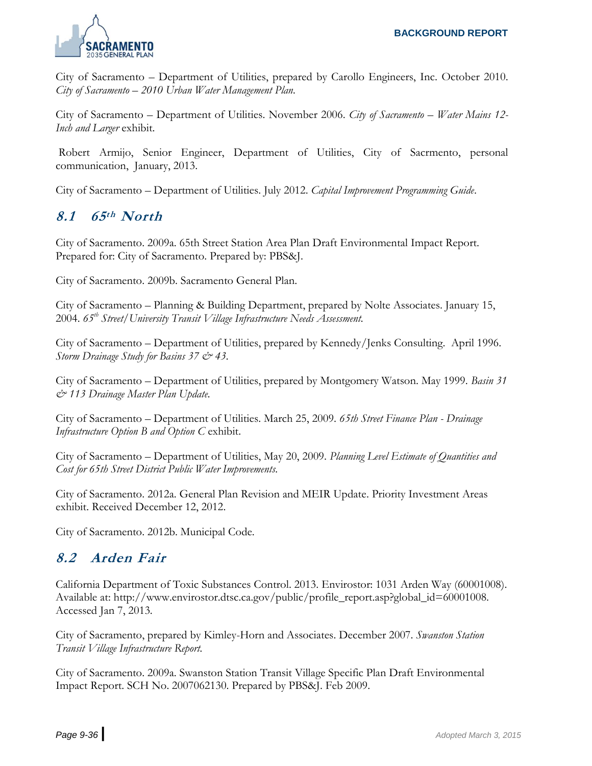

City of Sacramento – Department of Utilities, prepared by Carollo Engineers, Inc. October 2010. *City of Sacramento – 2010 Urban Water Management Plan.*

City of Sacramento – Department of Utilities. November 2006. *City of Sacramento – Water Mains 12- Inch and Larger* exhibit.

Robert Armijo, Senior Engineer, Department of Utilities, City of Sacrmento, personal communication, January, 2013.

City of Sacramento – Department of Utilities. July 2012. *Capital Improvement Programming Guide*.

#### **8.1 65th North**

City of Sacramento. 2009a. 65th Street Station Area Plan Draft Environmental Impact Report. Prepared for: City of Sacramento. Prepared by: PBS&J.

City of Sacramento. 2009b. Sacramento General Plan.

City of Sacramento – Planning & Building Department, prepared by Nolte Associates. January 15, 2004. *65th Street/University Transit Village Infrastructure Needs Assessment.*

City of Sacramento – Department of Utilities, prepared by Kennedy/Jenks Consulting. April 1996. *Storm Drainage Study for Basins 37 & 43.*

City of Sacramento – Department of Utilities, prepared by Montgomery Watson. May 1999. *Basin 31 & 113 Drainage Master Plan Update.*

City of Sacramento – Department of Utilities. March 25, 2009. *65th Street Finance Plan - Drainage Infrastructure Option B and Option C* exhibit.

City of Sacramento – Department of Utilities, May 20, 2009. *Planning Level Estimate of Quantities and Cost for 65th Street District Public Water Improvements.*

City of Sacramento. 2012a. General Plan Revision and MEIR Update. Priority Investment Areas exhibit. Received December 12, 2012.

City of Sacramento. 2012b. Municipal Code.

#### **8.2 Arden Fair**

California Department of Toxic Substances Control. 2013. Envirostor: 1031 Arden Way (60001008). Available at: http://www.envirostor.dtsc.ca.gov/public/profile\_report.asp?global\_id=60001008. Accessed Jan 7, 2013.

City of Sacramento, prepared by Kimley-Horn and Associates. December 2007. *Swanston Station Transit Village Infrastructure Report.*

City of Sacramento. 2009a. Swanston Station Transit Village Specific Plan Draft Environmental Impact Report. SCH No. 2007062130. Prepared by PBS&J. Feb 2009.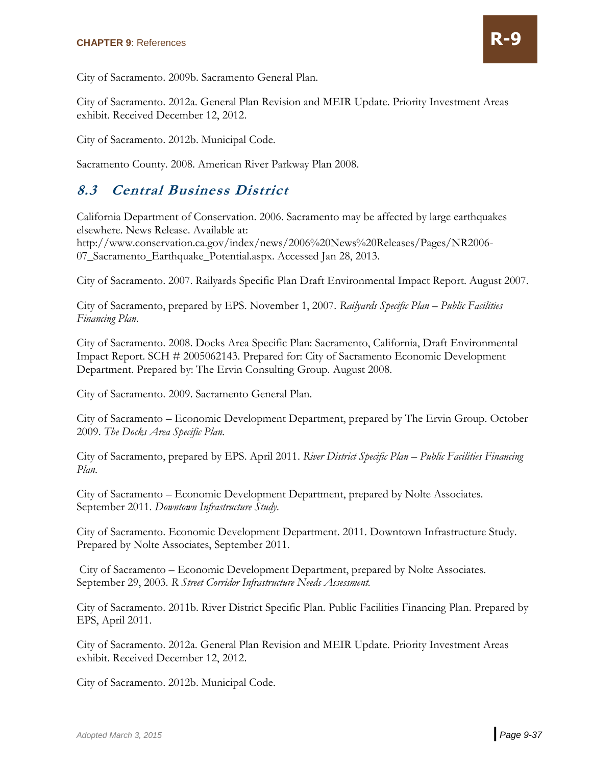

City of Sacramento. 2009b. Sacramento General Plan.

City of Sacramento. 2012a. General Plan Revision and MEIR Update. Priority Investment Areas exhibit. Received December 12, 2012.

City of Sacramento. 2012b. Municipal Code.

Sacramento County. 2008. American River Parkway Plan 2008.

### **8.3 Central Business District**

California Department of Conservation. 2006. Sacramento may be affected by large earthquakes elsewhere. News Release. Available at:

http://www.conservation.ca.gov/index/news/2006%20News%20Releases/Pages/NR2006- 07\_Sacramento\_Earthquake\_Potential.aspx. Accessed Jan 28, 2013.

City of Sacramento. 2007. Railyards Specific Plan Draft Environmental Impact Report. August 2007.

City of Sacramento, prepared by EPS. November 1, 2007. *Railyards Specific Plan – Public Facilities Financing Plan.*

City of Sacramento. 2008. Docks Area Specific Plan: Sacramento, California, Draft Environmental Impact Report. SCH # 2005062143. Prepared for: City of Sacramento Economic Development Department. Prepared by: The Ervin Consulting Group. August 2008.

City of Sacramento. 2009. Sacramento General Plan.

City of Sacramento – Economic Development Department, prepared by The Ervin Group. October 2009. *The Docks Area Specific Plan.* 

City of Sacramento, prepared by EPS. April 2011. *River District Specific Plan – Public Facilities Financing Plan*.

City of Sacramento – Economic Development Department, prepared by Nolte Associates. September 2011. *Downtown Infrastructure Study.*

City of Sacramento. Economic Development Department. 2011. Downtown Infrastructure Study. Prepared by Nolte Associates, September 2011.

City of Sacramento – Economic Development Department, prepared by Nolte Associates. September 29, 2003. *R Street Corridor Infrastructure Needs Assessment.*

City of Sacramento. 2011b. River District Specific Plan. Public Facilities Financing Plan. Prepared by EPS, April 2011.

City of Sacramento. 2012a. General Plan Revision and MEIR Update. Priority Investment Areas exhibit. Received December 12, 2012.

City of Sacramento. 2012b. Municipal Code.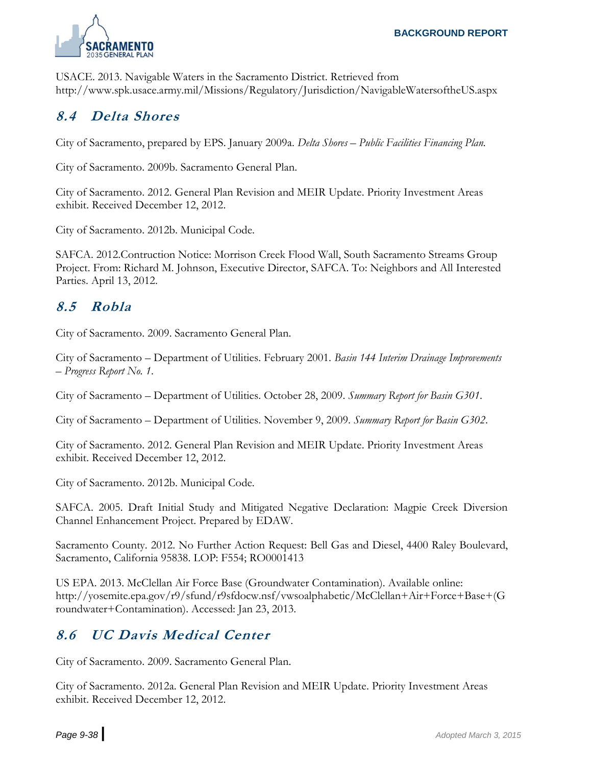

USACE. 2013. Navigable Waters in the Sacramento District. Retrieved from http://www.spk.usace.army.mil/Missions/Regulatory/Jurisdiction/NavigableWatersoftheUS.aspx

#### **8.4 Delta Shores**

City of Sacramento, prepared by EPS. January 2009a. *Delta Shores – Public Facilities Financing Plan.*

City of Sacramento. 2009b. Sacramento General Plan.

City of Sacramento. 2012. General Plan Revision and MEIR Update. Priority Investment Areas exhibit. Received December 12, 2012.

City of Sacramento. 2012b. Municipal Code.

SAFCA. 2012.Contruction Notice: Morrison Creek Flood Wall, South Sacramento Streams Group Project. From: Richard M. Johnson, Executive Director, SAFCA. To: Neighbors and All Interested Parties. April 13, 2012.

#### **8.5 Robla**

City of Sacramento. 2009. Sacramento General Plan.

City of Sacramento – Department of Utilities. February 2001. *Basin 144 Interim Drainage Improvements – Progress Report No. 1*.

City of Sacramento – Department of Utilities. October 28, 2009. *Summary Report for Basin G301*.

City of Sacramento – Department of Utilities. November 9, 2009. *Summary Report for Basin G302*.

City of Sacramento. 2012. General Plan Revision and MEIR Update. Priority Investment Areas exhibit. Received December 12, 2012.

City of Sacramento. 2012b. Municipal Code.

SAFCA. 2005. Draft Initial Study and Mitigated Negative Declaration: Magpie Creek Diversion Channel Enhancement Project. Prepared by EDAW.

Sacramento County. 2012. No Further Action Request: Bell Gas and Diesel, 4400 Raley Boulevard, Sacramento, California 95838. LOP: F554; RO0001413

US EPA. 2013. McClellan Air Force Base (Groundwater Contamination). Available online: http://yosemite.epa.gov/r9/sfund/r9sfdocw.nsf/vwsoalphabetic/McClellan+Air+Force+Base+(G roundwater+Contamination). Accessed: Jan 23, 2013.

# **8.6 UC Davis Medical Center**

City of Sacramento. 2009. Sacramento General Plan.

City of Sacramento. 2012a. General Plan Revision and MEIR Update. Priority Investment Areas exhibit. Received December 12, 2012.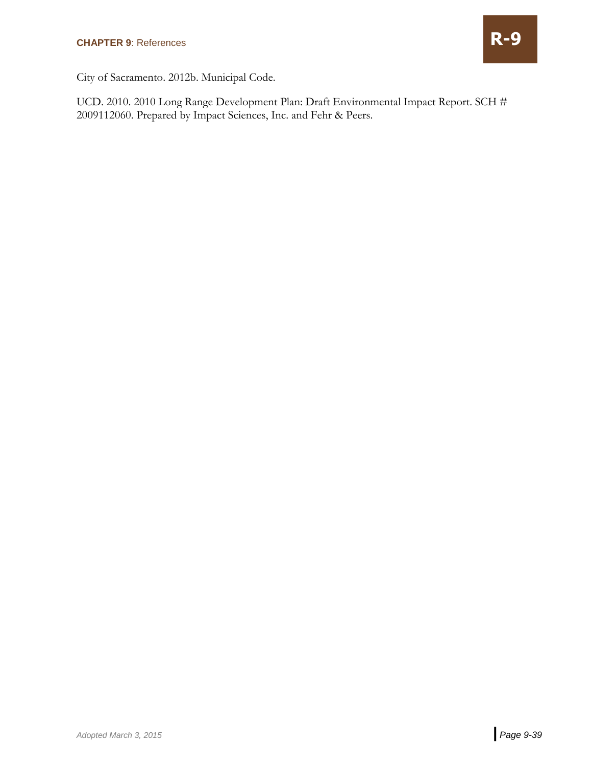

City of Sacramento. 2012b. Municipal Code.

UCD. 2010. 2010 Long Range Development Plan: Draft Environmental Impact Report. SCH # 2009112060. Prepared by Impact Sciences, Inc. and Fehr & Peers.